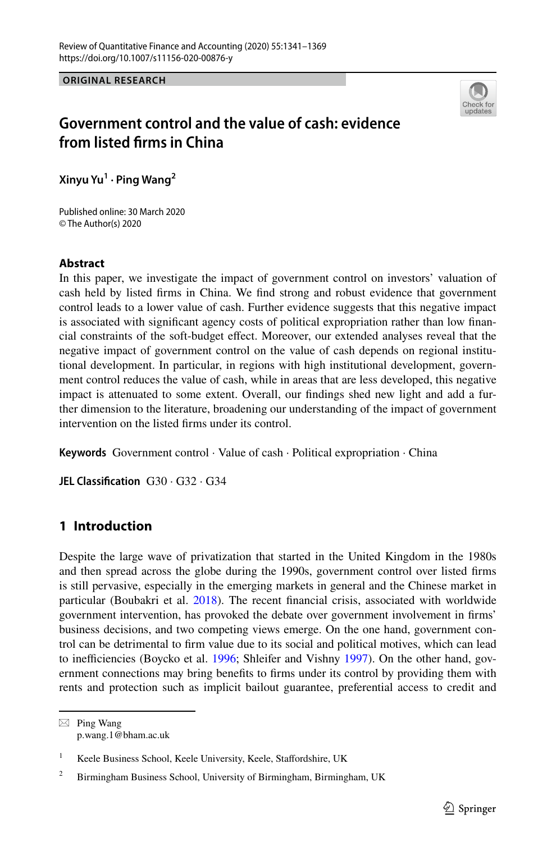**ORIGINAL RESEARCH**



# **Government control and the value of cash: evidence from listed frms in China**

**Xinyu Yu1 · Ping Wang2**

Published online: 30 March 2020 © The Author(s) 2020

## **Abstract**

In this paper, we investigate the impact of government control on investors' valuation of cash held by listed frms in China. We fnd strong and robust evidence that government control leads to a lower value of cash. Further evidence suggests that this negative impact is associated with signifcant agency costs of political expropriation rather than low fnancial constraints of the soft-budget efect. Moreover, our extended analyses reveal that the negative impact of government control on the value of cash depends on regional institutional development. In particular, in regions with high institutional development, government control reduces the value of cash, while in areas that are less developed, this negative impact is attenuated to some extent. Overall, our fndings shed new light and add a further dimension to the literature, broadening our understanding of the impact of government intervention on the listed frms under its control.

**Keywords** Government control · Value of cash · Political expropriation · China

**JEL Classifcation** G30 · G32 · G34

# **1 Introduction**

Despite the large wave of privatization that started in the United Kingdom in the 1980s and then spread across the globe during the 1990s, government control over listed frms is still pervasive, especially in the emerging markets in general and the Chinese market in particular (Boubakri et al. [2018\)](#page-26-0). The recent financial crisis, associated with worldwide government intervention, has provoked the debate over government involvement in frms' business decisions, and two competing views emerge. On the one hand, government control can be detrimental to frm value due to its social and political motives, which can lead to inefficiencies (Boycko et al. [1996;](#page-26-1) Shleifer and Vishny [1997](#page-27-0)). On the other hand, government connections may bring benefts to frms under its control by providing them with rents and protection such as implicit bailout guarantee, preferential access to credit and

 $\boxtimes$  Ping Wang p.wang.1@bham.ac.uk

<sup>&</sup>lt;sup>1</sup> Keele Business School, Keele University, Keele, Staffordshire, UK

<sup>&</sup>lt;sup>2</sup> Birmingham Business School, University of Birmingham, Birmingham, UK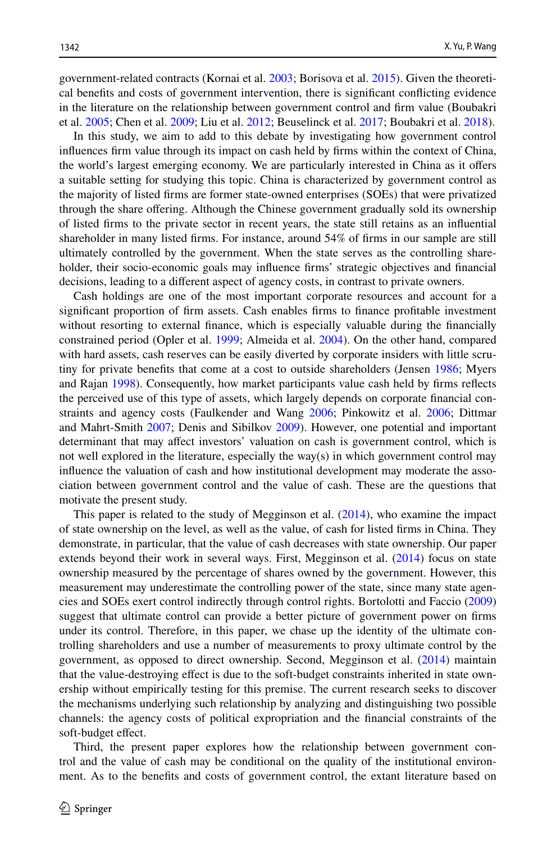government-related contracts (Kornai et al. [2003;](#page-27-1) Borisova et al. [2015](#page-26-2)). Given the theoretical benefts and costs of government intervention, there is signifcant conficting evidence in the literature on the relationship between government control and frm value (Boubakri et al. [2005;](#page-26-3) Chen et al. [2009;](#page-26-4) Liu et al. [2012](#page-27-2); Beuselinck et al. [2017](#page-26-5); Boubakri et al. [2018\)](#page-26-0).

In this study, we aim to add to this debate by investigating how government control infuences frm value through its impact on cash held by frms within the context of China, the world's largest emerging economy. We are particularly interested in China as it ofers a suitable setting for studying this topic. China is characterized by government control as the majority of listed frms are former state-owned enterprises (SOEs) that were privatized through the share ofering. Although the Chinese government gradually sold its ownership of listed frms to the private sector in recent years, the state still retains as an infuential shareholder in many listed frms. For instance, around 54% of frms in our sample are still ultimately controlled by the government. When the state serves as the controlling shareholder, their socio-economic goals may infuence frms' strategic objectives and fnancial decisions, leading to a diferent aspect of agency costs, in contrast to private owners.

Cash holdings are one of the most important corporate resources and account for a signifcant proportion of frm assets. Cash enables frms to fnance proftable investment without resorting to external fnance, which is especially valuable during the fnancially constrained period (Opler et al. [1999](#page-27-3); Almeida et al. [2004](#page-26-6)). On the other hand, compared with hard assets, cash reserves can be easily diverted by corporate insiders with little scrutiny for private benefts that come at a cost to outside shareholders (Jensen [1986;](#page-27-4) Myers and Rajan [1998](#page-27-5)). Consequently, how market participants value cash held by frms refects the perceived use of this type of assets, which largely depends on corporate fnancial constraints and agency costs (Faulkender and Wang [2006;](#page-27-6) Pinkowitz et al. [2006](#page-27-7); Dittmar and Mahrt-Smith [2007](#page-26-7); Denis and Sibilkov [2009](#page-26-8)). However, one potential and important determinant that may afect investors' valuation on cash is government control, which is not well explored in the literature, especially the way(s) in which government control may infuence the valuation of cash and how institutional development may moderate the association between government control and the value of cash. These are the questions that motivate the present study.

This paper is related to the study of Megginson et al. [\(2014](#page-27-8)), who examine the impact of state ownership on the level, as well as the value, of cash for listed frms in China. They demonstrate, in particular, that the value of cash decreases with state ownership. Our paper extends beyond their work in several ways. First, Megginson et al. [\(2014](#page-27-8)) focus on state ownership measured by the percentage of shares owned by the government. However, this measurement may underestimate the controlling power of the state, since many state agencies and SOEs exert control indirectly through control rights. Bortolotti and Faccio [\(2009](#page-26-9)) suggest that ultimate control can provide a better picture of government power on frms under its control. Therefore, in this paper, we chase up the identity of the ultimate controlling shareholders and use a number of measurements to proxy ultimate control by the government, as opposed to direct ownership. Second, Megginson et al. [\(2014](#page-27-8)) maintain that the value-destroying efect is due to the soft-budget constraints inherited in state ownership without empirically testing for this premise. The current research seeks to discover the mechanisms underlying such relationship by analyzing and distinguishing two possible channels: the agency costs of political expropriation and the fnancial constraints of the soft-budget efect.

Third, the present paper explores how the relationship between government control and the value of cash may be conditional on the quality of the institutional environment. As to the benefts and costs of government control, the extant literature based on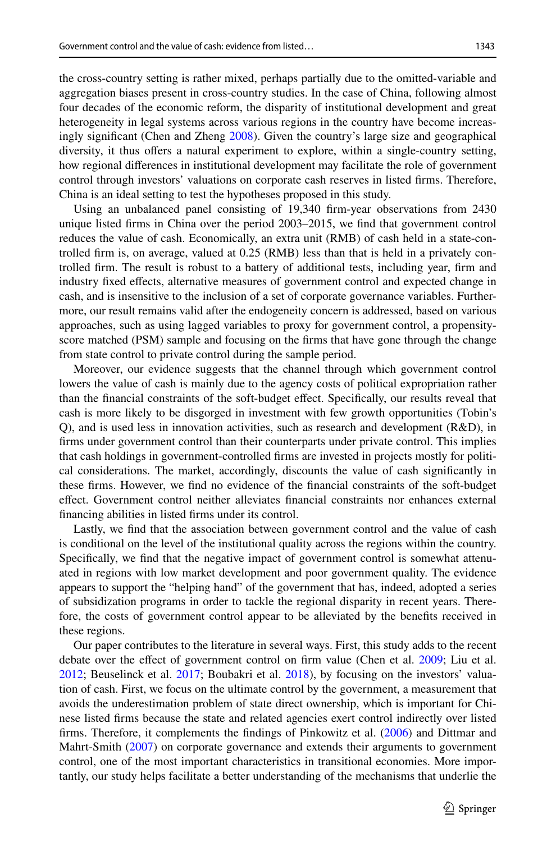the cross-country setting is rather mixed, perhaps partially due to the omitted-variable and aggregation biases present in cross-country studies. In the case of China, following almost four decades of the economic reform, the disparity of institutional development and great heterogeneity in legal systems across various regions in the country have become increasingly signifcant (Chen and Zheng [2008](#page-26-10)). Given the country's large size and geographical diversity, it thus ofers a natural experiment to explore, within a single-country setting, how regional diferences in institutional development may facilitate the role of government control through investors' valuations on corporate cash reserves in listed frms. Therefore, China is an ideal setting to test the hypotheses proposed in this study.

Using an unbalanced panel consisting of 19,340 frm-year observations from 2430 unique listed frms in China over the period 2003–2015, we fnd that government control reduces the value of cash. Economically, an extra unit (RMB) of cash held in a state-controlled frm is, on average, valued at 0.25 (RMB) less than that is held in a privately controlled frm. The result is robust to a battery of additional tests, including year, frm and industry fxed efects, alternative measures of government control and expected change in cash, and is insensitive to the inclusion of a set of corporate governance variables. Furthermore, our result remains valid after the endogeneity concern is addressed, based on various approaches, such as using lagged variables to proxy for government control, a propensityscore matched (PSM) sample and focusing on the frms that have gone through the change from state control to private control during the sample period.

Moreover, our evidence suggests that the channel through which government control lowers the value of cash is mainly due to the agency costs of political expropriation rather than the fnancial constraints of the soft-budget efect. Specifcally, our results reveal that cash is more likely to be disgorged in investment with few growth opportunities (Tobin's Q), and is used less in innovation activities, such as research and development (R&D), in frms under government control than their counterparts under private control. This implies that cash holdings in government-controlled frms are invested in projects mostly for political considerations. The market, accordingly, discounts the value of cash signifcantly in these frms. However, we fnd no evidence of the fnancial constraints of the soft-budget efect. Government control neither alleviates fnancial constraints nor enhances external fnancing abilities in listed frms under its control.

Lastly, we fnd that the association between government control and the value of cash is conditional on the level of the institutional quality across the regions within the country. Specifcally, we fnd that the negative impact of government control is somewhat attenuated in regions with low market development and poor government quality. The evidence appears to support the "helping hand" of the government that has, indeed, adopted a series of subsidization programs in order to tackle the regional disparity in recent years. Therefore, the costs of government control appear to be alleviated by the benefts received in these regions.

Our paper contributes to the literature in several ways. First, this study adds to the recent debate over the effect of government control on firm value (Chen et al. [2009](#page-26-4); Liu et al. [2012;](#page-27-2) Beuselinck et al. [2017](#page-26-5); Boubakri et al. [2018\)](#page-26-0), by focusing on the investors' valuation of cash. First, we focus on the ultimate control by the government, a measurement that avoids the underestimation problem of state direct ownership, which is important for Chinese listed frms because the state and related agencies exert control indirectly over listed frms. Therefore, it complements the fndings of Pinkowitz et al. ([2006\)](#page-27-7) and Dittmar and Mahrt-Smith [\(2007](#page-26-7)) on corporate governance and extends their arguments to government control, one of the most important characteristics in transitional economies. More importantly, our study helps facilitate a better understanding of the mechanisms that underlie the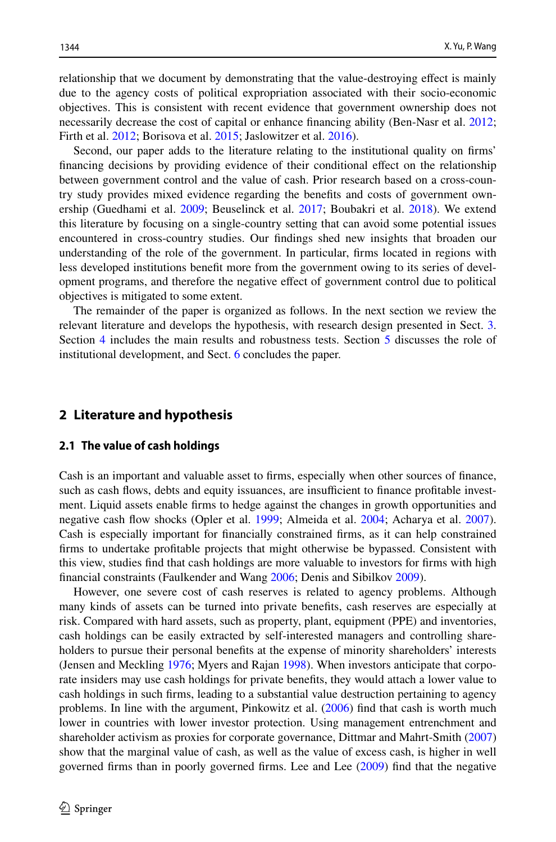relationship that we document by demonstrating that the value-destroying efect is mainly due to the agency costs of political expropriation associated with their socio-economic objectives. This is consistent with recent evidence that government ownership does not necessarily decrease the cost of capital or enhance fnancing ability (Ben-Nasr et al. [2012;](#page-26-11) Firth et al. [2012;](#page-27-9) Borisova et al. [2015;](#page-26-2) Jaslowitzer et al. [2016](#page-27-10)).

Second, our paper adds to the literature relating to the institutional quality on frms' fnancing decisions by providing evidence of their conditional efect on the relationship between government control and the value of cash. Prior research based on a cross-country study provides mixed evidence regarding the benefts and costs of government ownership (Guedhami et al. [2009;](#page-27-11) Beuselinck et al. [2017](#page-26-5); Boubakri et al. [2018](#page-26-0)). We extend this literature by focusing on a single-country setting that can avoid some potential issues encountered in cross-country studies. Our fndings shed new insights that broaden our understanding of the role of the government. In particular, frms located in regions with less developed institutions beneft more from the government owing to its series of development programs, and therefore the negative efect of government control due to political objectives is mitigated to some extent.

The remainder of the paper is organized as follows. In the next section we review the relevant literature and develops the hypothesis, with research design presented in Sect. [3](#page-6-0). Section [4](#page-9-0) includes the main results and robustness tests. Section [5](#page-22-0) discusses the role of institutional development, and Sect. [6](#page-25-0) concludes the paper.

## **2 Literature and hypothesis**

## **2.1 The value of cash holdings**

Cash is an important and valuable asset to frms, especially when other sources of fnance, such as cash flows, debts and equity issuances, are insufficient to finance profitable investment. Liquid assets enable frms to hedge against the changes in growth opportunities and negative cash fow shocks (Opler et al. [1999;](#page-27-3) Almeida et al. [2004](#page-26-6); Acharya et al. [2007](#page-26-12)). Cash is especially important for fnancially constrained frms, as it can help constrained frms to undertake proftable projects that might otherwise be bypassed. Consistent with this view, studies fnd that cash holdings are more valuable to investors for frms with high fnancial constraints (Faulkender and Wang [2006;](#page-27-6) Denis and Sibilkov [2009\)](#page-26-8).

However, one severe cost of cash reserves is related to agency problems. Although many kinds of assets can be turned into private benefts, cash reserves are especially at risk. Compared with hard assets, such as property, plant, equipment (PPE) and inventories, cash holdings can be easily extracted by self-interested managers and controlling shareholders to pursue their personal benefts at the expense of minority shareholders' interests (Jensen and Meckling [1976](#page-27-12); Myers and Rajan [1998](#page-27-5)). When investors anticipate that corporate insiders may use cash holdings for private benefts, they would attach a lower value to cash holdings in such frms, leading to a substantial value destruction pertaining to agency problems. In line with the argument, Pinkowitz et al. [\(2006](#page-27-7)) fnd that cash is worth much lower in countries with lower investor protection. Using management entrenchment and shareholder activism as proxies for corporate governance, Dittmar and Mahrt-Smith [\(2007](#page-26-7)) show that the marginal value of cash, as well as the value of excess cash, is higher in well governed frms than in poorly governed frms. Lee and Lee ([2009\)](#page-27-13) fnd that the negative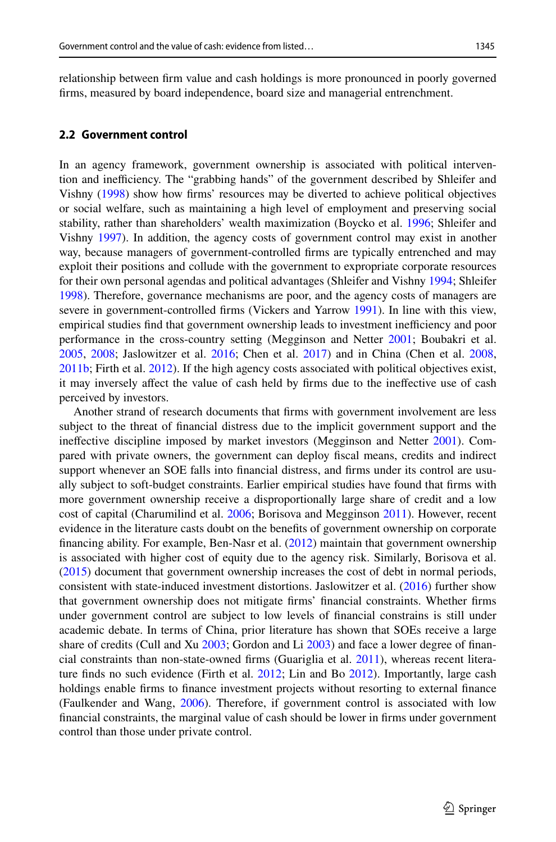relationship between frm value and cash holdings is more pronounced in poorly governed frms, measured by board independence, board size and managerial entrenchment.

#### **2.2 Government control**

In an agency framework, government ownership is associated with political intervention and inefficiency. The "grabbing hands" of the government described by Shleifer and Vishny [\(1998](#page-27-14)) show how frms' resources may be diverted to achieve political objectives or social welfare, such as maintaining a high level of employment and preserving social stability, rather than shareholders' wealth maximization (Boycko et al. [1996](#page-26-1); Shleifer and Vishny [1997](#page-27-0)). In addition, the agency costs of government control may exist in another way, because managers of government-controlled frms are typically entrenched and may exploit their positions and collude with the government to expropriate corporate resources for their own personal agendas and political advantages (Shleifer and Vishny [1994;](#page-27-15) Shleifer [1998\)](#page-27-16). Therefore, governance mechanisms are poor, and the agency costs of managers are severe in government-controlled frms (Vickers and Yarrow [1991\)](#page-27-17). In line with this view, empirical studies find that government ownership leads to investment inefficiency and poor performance in the cross-country setting (Megginson and Netter [2001](#page-27-18); Boubakri et al. [2005,](#page-26-3) [2008;](#page-26-13) Jaslowitzer et al. [2016;](#page-27-10) Chen et al. [2017\)](#page-26-14) and in China (Chen et al. [2008](#page-26-15), [2011b;](#page-26-16) Firth et al. [2012\)](#page-27-9). If the high agency costs associated with political objectives exist, it may inversely afect the value of cash held by frms due to the inefective use of cash perceived by investors.

Another strand of research documents that frms with government involvement are less subject to the threat of fnancial distress due to the implicit government support and the inefective discipline imposed by market investors (Megginson and Netter [2001\)](#page-27-18). Compared with private owners, the government can deploy fscal means, credits and indirect support whenever an SOE falls into fnancial distress, and frms under its control are usually subject to soft-budget constraints. Earlier empirical studies have found that frms with more government ownership receive a disproportionally large share of credit and a low cost of capital (Charumilind et al. [2006;](#page-26-17) Borisova and Megginson [2011](#page-26-18)). However, recent evidence in the literature casts doubt on the benefts of government ownership on corporate fnancing ability. For example, Ben-Nasr et al. [\(2012](#page-26-11)) maintain that government ownership is associated with higher cost of equity due to the agency risk. Similarly, Borisova et al. ([2015\)](#page-26-2) document that government ownership increases the cost of debt in normal periods, consistent with state-induced investment distortions. Jaslowitzer et al. [\(2016](#page-27-10)) further show that government ownership does not mitigate frms' fnancial constraints. Whether frms under government control are subject to low levels of fnancial constrains is still under academic debate. In terms of China, prior literature has shown that SOEs receive a large share of credits (Cull and Xu [2003;](#page-26-19) Gordon and Li [2003\)](#page-27-19) and face a lower degree of fnancial constraints than non-state-owned frms (Guariglia et al. [2011\)](#page-27-20), whereas recent literature fnds no such evidence (Firth et al. [2012;](#page-27-9) Lin and Bo [2012](#page-27-21)). Importantly, large cash holdings enable frms to fnance investment projects without resorting to external fnance (Faulkender and Wang, [2006\)](#page-27-6). Therefore, if government control is associated with low fnancial constraints, the marginal value of cash should be lower in frms under government control than those under private control.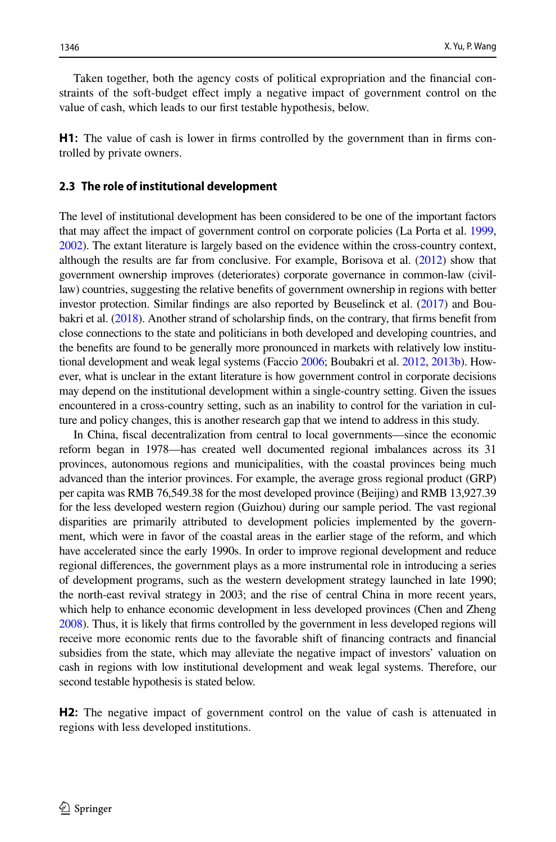Taken together, both the agency costs of political expropriation and the fnancial constraints of the soft-budget efect imply a negative impact of government control on the value of cash, which leads to our frst testable hypothesis, below.

**H1:** The value of cash is lower in frms controlled by the government than in frms controlled by private owners.

## **2.3 The role of institutional development**

The level of institutional development has been considered to be one of the important factors that may afect the impact of government control on corporate policies (La Porta et al. [1999](#page-27-22), [2002](#page-27-23)). The extant literature is largely based on the evidence within the cross-country context, although the results are far from conclusive. For example, Borisova et al. [\(2012\)](#page-26-20) show that government ownership improves (deteriorates) corporate governance in common-law (civillaw) countries, suggesting the relative benefts of government ownership in regions with better investor protection. Similar fndings are also reported by Beuselinck et al. ([2017](#page-26-5)) and Bou-bakri et al. [\(2018](#page-26-0)). Another strand of scholarship finds, on the contrary, that firms benefit from close connections to the state and politicians in both developed and developing countries, and the benefts are found to be generally more pronounced in markets with relatively low institutional development and weak legal systems (Faccio [2006](#page-27-24); Boubakri et al. [2012,](#page-26-21) [2013b](#page-26-22)). However, what is unclear in the extant literature is how government control in corporate decisions may depend on the institutional development within a single-country setting. Given the issues encountered in a cross-country setting, such as an inability to control for the variation in culture and policy changes, this is another research gap that we intend to address in this study.

In China, fscal decentralization from central to local governments—since the economic reform began in 1978—has created well documented regional imbalances across its 31 provinces, autonomous regions and municipalities, with the coastal provinces being much advanced than the interior provinces. For example, the average gross regional product (GRP) per capita was RMB 76,549.38 for the most developed province (Beijing) and RMB 13,927.39 for the less developed western region (Guizhou) during our sample period. The vast regional disparities are primarily attributed to development policies implemented by the government, which were in favor of the coastal areas in the earlier stage of the reform, and which have accelerated since the early 1990s. In order to improve regional development and reduce regional diferences, the government plays as a more instrumental role in introducing a series of development programs, such as the western development strategy launched in late 1990; the north-east revival strategy in 2003; and the rise of central China in more recent years, which help to enhance economic development in less developed provinces (Chen and Zheng [2008](#page-26-10)). Thus, it is likely that frms controlled by the government in less developed regions will receive more economic rents due to the favorable shift of fnancing contracts and fnancial subsidies from the state, which may alleviate the negative impact of investors' valuation on cash in regions with low institutional development and weak legal systems. Therefore, our second testable hypothesis is stated below.

**H2:** The negative impact of government control on the value of cash is attenuated in regions with less developed institutions.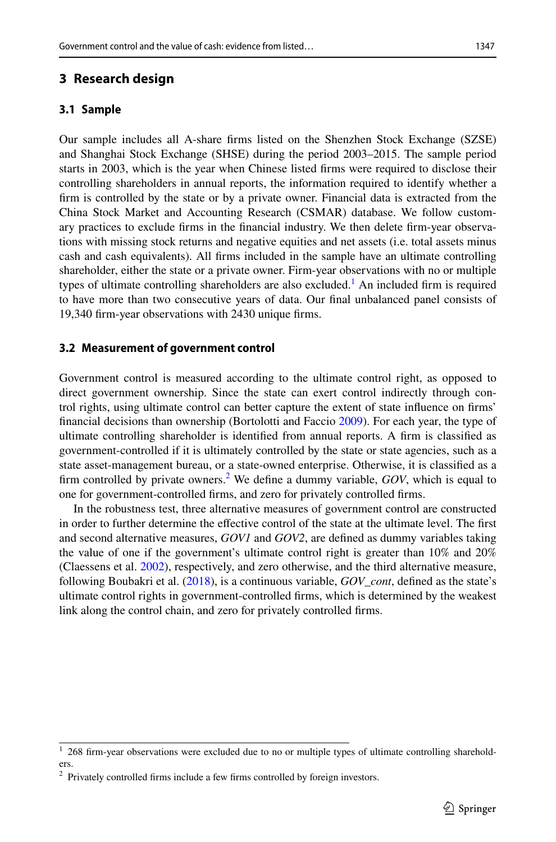## <span id="page-6-0"></span>**3.1 Sample**

Our sample includes all A-share frms listed on the Shenzhen Stock Exchange (SZSE) and Shanghai Stock Exchange (SHSE) during the period 2003–2015. The sample period starts in 2003, which is the year when Chinese listed frms were required to disclose their controlling shareholders in annual reports, the information required to identify whether a frm is controlled by the state or by a private owner. Financial data is extracted from the China Stock Market and Accounting Research (CSMAR) database. We follow customary practices to exclude frms in the fnancial industry. We then delete frm-year observations with missing stock returns and negative equities and net assets (i.e. total assets minus cash and cash equivalents). All frms included in the sample have an ultimate controlling shareholder, either the state or a private owner. Firm-year observations with no or multiple types of ultimate controlling shareholders are also excluded.<sup>[1](#page-6-1)</sup> An included firm is required to have more than two consecutive years of data. Our fnal unbalanced panel consists of 19,340 frm-year observations with 2430 unique frms.

## **3.2 Measurement of government control**

Government control is measured according to the ultimate control right, as opposed to direct government ownership. Since the state can exert control indirectly through control rights, using ultimate control can better capture the extent of state infuence on frms' fnancial decisions than ownership (Bortolotti and Faccio [2009\)](#page-26-9). For each year, the type of ultimate controlling shareholder is identifed from annual reports. A frm is classifed as government-controlled if it is ultimately controlled by the state or state agencies, such as a state asset-management bureau, or a state-owned enterprise. Otherwise, it is classifed as a firm controlled by private owners.<sup>[2](#page-6-2)</sup> We define a dummy variable, *GOV*, which is equal to one for government-controlled frms, and zero for privately controlled frms.

In the robustness test, three alternative measures of government control are constructed in order to further determine the efective control of the state at the ultimate level. The frst and second alternative measures, *GOV1* and *GOV2*, are defned as dummy variables taking the value of one if the government's ultimate control right is greater than 10% and 20% (Claessens et al. [2002\)](#page-26-23), respectively, and zero otherwise, and the third alternative measure, following Boubakri et al. [\(2018](#page-26-0)), is a continuous variable, *GOV\_cont*, defned as the state's ultimate control rights in government-controlled frms, which is determined by the weakest link along the control chain, and zero for privately controlled frms.

<span id="page-6-1"></span><sup>1</sup> 268 frm-year observations were excluded due to no or multiple types of ultimate controlling shareholders.

<span id="page-6-2"></span><sup>&</sup>lt;sup>2</sup> Privately controlled firms include a few firms controlled by foreign investors.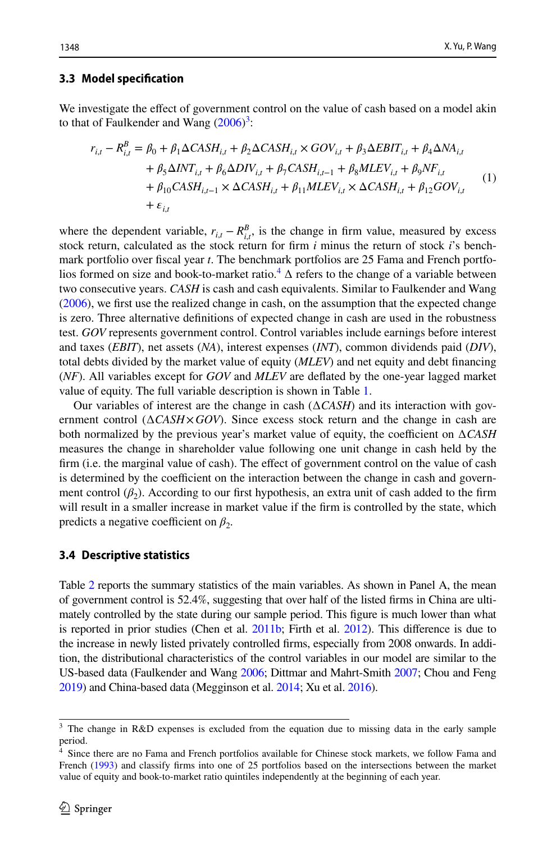## **3.3 Model specifcation**

We investigate the effect of government control on the value of cash based on a model akin to that of Faulkender and Wang  $(2006)^3$  $(2006)^3$  $(2006)^3$ :

<span id="page-7-2"></span>
$$
r_{i,t} - R_{i,t}^B = \beta_0 + \beta_1 \Delta CASH_{i,t} + \beta_2 \Delta CASH_{i,t} \times GOV_{i,t} + \beta_3 \Delta EBIT_{i,t} + \beta_4 \Delta NA_{i,t} + \beta_5 \Delta INT_{i,t} + \beta_6 \Delta DIV_{i,t} + \beta_7 CASH_{i,t-1} + \beta_8 MLEV_{i,t} + \beta_9 NF_{i,t} + \beta_{10} CASH_{i,t-1} \times \Delta CASH_{i,t} + \beta_{11} MLEV_{i,t} \times \Delta CASH_{i,t} + \beta_{12} GOV_{i,t} \tag{1}
$$
  
+  $\varepsilon_{i,t}$ 

where the dependent variable,  $r_{i,t} - R_{i,t}^B$ , is the change in firm value, measured by excess stock return, calculated as the stock return for frm *i* minus the return of stock *i*'s benchmark portfolio over fscal year *t*. The benchmark portfolios are 25 Fama and French portfo-lios formed on size and book-to-market ratio.<sup>[4](#page-7-1)</sup>  $\Delta$  refers to the change of a variable between two consecutive years. *CASH* is cash and cash equivalents. Similar to Faulkender and Wang ([2006\)](#page-27-6), we frst use the realized change in cash, on the assumption that the expected change is zero. Three alternative defnitions of expected change in cash are used in the robustness test. *GOV* represents government control. Control variables include earnings before interest and taxes (*EBIT*), net assets (*NA*), interest expenses (*INT*), common dividends paid (*DIV*), total debts divided by the market value of equity (*MLEV*) and net equity and debt fnancing (*NF*). All variables except for *GOV* and *MLEV* are defated by the one-year lagged market value of equity. The full variable description is shown in Table [1.](#page-8-0)

Our variables of interest are the change in cash (∆*CASH*) and its interaction with government control (∆*CASH*×*GOV*). Since excess stock return and the change in cash are both normalized by the previous year's market value of equity, the coefficient on ∆*CASH* measures the change in shareholder value following one unit change in cash held by the firm (i.e. the marginal value of cash). The effect of government control on the value of cash is determined by the coefficient on the interaction between the change in cash and government control  $(\beta_2)$ . According to our first hypothesis, an extra unit of cash added to the firm will result in a smaller increase in market value if the frm is controlled by the state, which predicts a negative coefficient on  $\beta_2$ .

## **3.4 Descriptive statistics**

Table [2](#page-10-0) reports the summary statistics of the main variables. As shown in Panel A, the mean of government control is 52.4%, suggesting that over half of the listed frms in China are ultimately controlled by the state during our sample period. This fgure is much lower than what is reported in prior studies (Chen et al. [2011b](#page-26-16); Firth et al. [2012\)](#page-27-9). This diference is due to the increase in newly listed privately controlled frms, especially from 2008 onwards. In addition, the distributional characteristics of the control variables in our model are similar to the US-based data (Faulkender and Wang [2006;](#page-27-6) Dittmar and Mahrt-Smith [2007](#page-26-7); Chou and Feng [2019](#page-26-24)) and China-based data (Megginson et al. [2014](#page-27-8); Xu et al. [2016\)](#page-28-0).

<span id="page-7-0"></span><sup>&</sup>lt;sup>3</sup> The change in R&D expenses is excluded from the equation due to missing data in the early sample period.

<span id="page-7-1"></span>Since there are no Fama and French portfolios available for Chinese stock markets, we follow Fama and French [\(1993](#page-27-25)) and classify frms into one of 25 portfolios based on the intersections between the market value of equity and book-to-market ratio quintiles independently at the beginning of each year.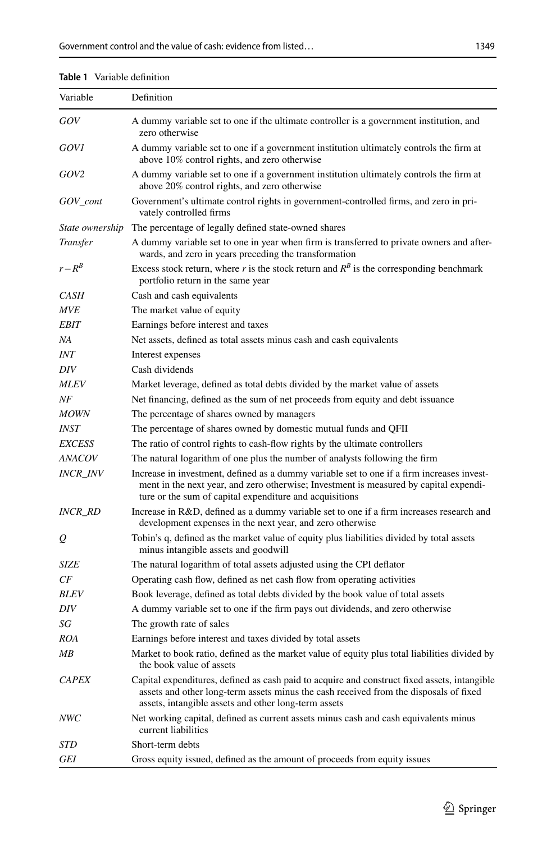| Variable         | Definition                                                                                                                                                                                                                                     |
|------------------|------------------------------------------------------------------------------------------------------------------------------------------------------------------------------------------------------------------------------------------------|
| GOV              | A dummy variable set to one if the ultimate controller is a government institution, and<br>zero otherwise                                                                                                                                      |
| <i>GOVI</i>      | A dummy variable set to one if a government institution ultimately controls the firm at<br>above 10% control rights, and zero otherwise                                                                                                        |
| GOV <sub>2</sub> | A dummy variable set to one if a government institution ultimately controls the firm at<br>above 20% control rights, and zero otherwise                                                                                                        |
| GOV_cont         | Government's ultimate control rights in government-controlled firms, and zero in pri-<br>vately controlled firms                                                                                                                               |
| State ownership  | The percentage of legally defined state-owned shares                                                                                                                                                                                           |
| Transfer         | A dummy variable set to one in year when firm is transferred to private owners and after-<br>wards, and zero in years preceding the transformation                                                                                             |
| $r - R^B$        | Excess stock return, where r is the stock return and $R^B$ is the corresponding benchmark<br>portfolio return in the same year                                                                                                                 |
| CASH             | Cash and cash equivalents                                                                                                                                                                                                                      |
| <b>MVE</b>       | The market value of equity                                                                                                                                                                                                                     |
| EBIT             | Earnings before interest and taxes                                                                                                                                                                                                             |
| ΝA               | Net assets, defined as total assets minus cash and cash equivalents                                                                                                                                                                            |
| INT              | Interest expenses                                                                                                                                                                                                                              |
| DIV              | Cash dividends                                                                                                                                                                                                                                 |
| <b>MLEV</b>      | Market leverage, defined as total debts divided by the market value of assets                                                                                                                                                                  |
| NF               | Net financing, defined as the sum of net proceeds from equity and debt issuance                                                                                                                                                                |
| <b>MOWN</b>      | The percentage of shares owned by managers                                                                                                                                                                                                     |
| INST             | The percentage of shares owned by domestic mutual funds and QFII                                                                                                                                                                               |
| EXCESS           | The ratio of control rights to cash-flow rights by the ultimate controllers                                                                                                                                                                    |
| <i>ANACOV</i>    | The natural logarithm of one plus the number of analysts following the firm                                                                                                                                                                    |
| <i>INCR_INV</i>  | Increase in investment, defined as a dummy variable set to one if a firm increases invest-<br>ment in the next year, and zero otherwise; Investment is measured by capital expendi-<br>ture or the sum of capital expenditure and acquisitions |
| INCR_RD          | Increase in R&D, defined as a dummy variable set to one if a firm increases research and<br>development expenses in the next year, and zero otherwise                                                                                          |
| $\varrho$        | Tobin's q, defined as the market value of equity plus liabilities divided by total assets<br>minus intangible assets and goodwill                                                                                                              |
| SIZE             | The natural logarithm of total assets adjusted using the CPI deflator                                                                                                                                                                          |
| СF               | Operating cash flow, defined as net cash flow from operating activities                                                                                                                                                                        |
| <b>BLEV</b>      | Book leverage, defined as total debts divided by the book value of total assets                                                                                                                                                                |
| DIV              | A dummy variable set to one if the firm pays out dividends, and zero otherwise                                                                                                                                                                 |
| SG               | The growth rate of sales                                                                                                                                                                                                                       |
| ROA              | Earnings before interest and taxes divided by total assets                                                                                                                                                                                     |
| MB               | Market to book ratio, defined as the market value of equity plus total liabilities divided by<br>the book value of assets                                                                                                                      |
| <b>CAPEX</b>     | Capital expenditures, defined as cash paid to acquire and construct fixed assets, intangible<br>assets and other long-term assets minus the cash received from the disposals of fixed<br>assets, intangible assets and other long-term assets  |
| NWC              | Net working capital, defined as current assets minus cash and cash equivalents minus<br>current liabilities                                                                                                                                    |
| STD              | Short-term debts                                                                                                                                                                                                                               |
| GEI              | Gross equity issued, defined as the amount of proceeds from equity issues                                                                                                                                                                      |

## <span id="page-8-0"></span>**Table 1** Variable defnition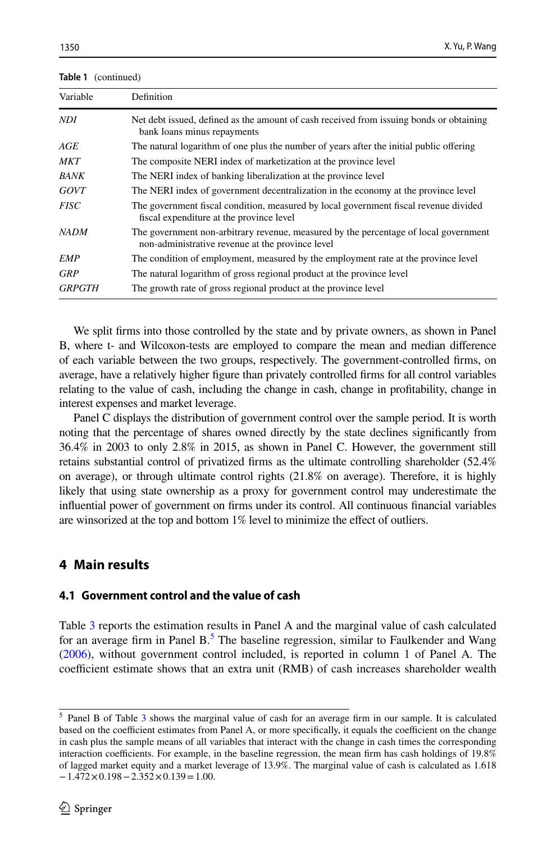| <b>Table 1</b> (continued) |                                                                                                                                  |
|----------------------------|----------------------------------------------------------------------------------------------------------------------------------|
| Variable                   | Definition                                                                                                                       |
| NDI                        | Net debt issued, defined as the amount of cash received from issuing bonds or obtaining<br>bank loans minus repayments           |
| AGE                        | The natural logarithm of one plus the number of years after the initial public offering                                          |
| <b>MKT</b>                 | The composite NERI index of marketization at the province level                                                                  |
| BANK                       | The NERI index of banking liberalization at the province level                                                                   |
| <b>GOVT</b>                | The NERI index of government decentralization in the economy at the province level                                               |
| <b>FISC</b>                | The government fiscal condition, measured by local government fiscal revenue divided<br>fiscal expenditure at the province level |
| <b>NADM</b>                | The government non-arbitrary revenue, measured by the percentage of local government                                             |

*EMP* The condition of employment, measured by the employment rate at the province level

non-administrative revenue at the province level

*GRP* The natural logarithm of gross regional product at the province level *GRPGTH* The growth rate of gross regional product at the province level

We split firms into those controlled by the state and by private owners, as shown in Panel B, where t- and Wilcoxon-tests are employed to compare the mean and median diference of each variable between the two groups, respectively. The government-controlled frms, on average, have a relatively higher fgure than privately controlled frms for all control variables relating to the value of cash, including the change in cash, change in proftability, change in interest expenses and market leverage.

Panel C displays the distribution of government control over the sample period. It is worth noting that the percentage of shares owned directly by the state declines signifcantly from 36.4% in 2003 to only 2.8% in 2015, as shown in Panel C. However, the government still retains substantial control of privatized frms as the ultimate controlling shareholder (52.4% on average), or through ultimate control rights (21.8% on average). Therefore, it is highly likely that using state ownership as a proxy for government control may underestimate the infuential power of government on frms under its control. All continuous fnancial variables are winsorized at the top and bottom 1% level to minimize the efect of outliers.

# <span id="page-9-0"></span>**4 Main results**

## **4.1 Government control and the value of cash**

Table [3](#page-12-0) reports the estimation results in Panel A and the marginal value of cash calculated for an average firm in Panel B.<sup>[5](#page-9-1)</sup> The baseline regression, similar to Faulkender and Wang ([2006\)](#page-27-6), without government control included, is reported in column 1 of Panel A. The coefficient estimate shows that an extra unit (RMB) of cash increases shareholder wealth

<span id="page-9-1"></span><sup>5</sup> Panel B of Table [3](#page-12-0) shows the marginal value of cash for an average frm in our sample. It is calculated based on the coefficient estimates from Panel A, or more specifically, it equals the coefficient on the change in cash plus the sample means of all variables that interact with the change in cash times the corresponding interaction coefficients. For example, in the baseline regression, the mean firm has cash holdings of 19.8% of lagged market equity and a market leverage of 13.9%. The marginal value of cash is calculated as 1.618  $-1.472 \times 0.198 - 2.352 \times 0.139 = 1.00$ .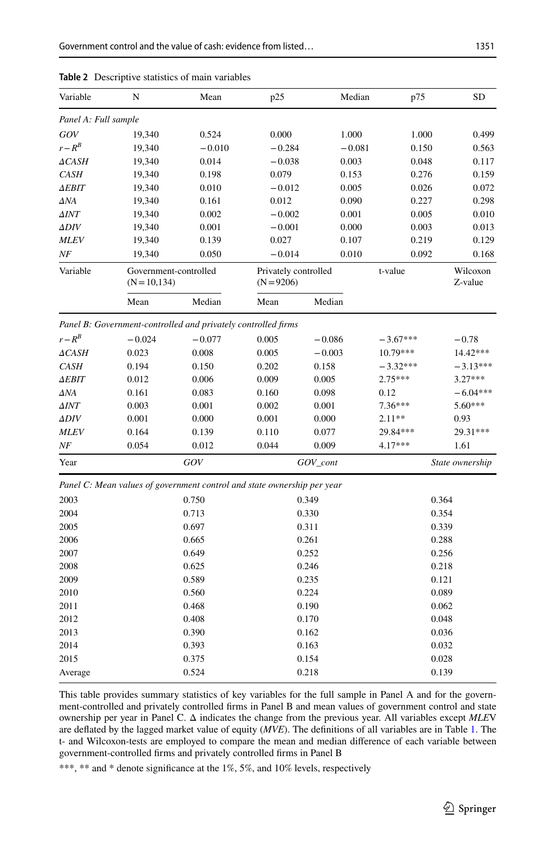| Variable             | N                                        | Mean                                                                    | p25                                  | Median   | p75        | <b>SD</b>           |
|----------------------|------------------------------------------|-------------------------------------------------------------------------|--------------------------------------|----------|------------|---------------------|
| Panel A: Full sample |                                          |                                                                         |                                      |          |            |                     |
| GOV                  | 19,340                                   | 0.524                                                                   | 0.000                                | 1.000    | 1.000      | 0.499               |
| $r - R^B$            | 19,340                                   | $-0.010$                                                                | $-0.284$                             | $-0.081$ | 0.150      | 0.563               |
| $\Delta$ CASH        | 19,340                                   | 0.014                                                                   | $-0.038$                             | 0.003    | 0.048      | 0.117               |
| <b>CASH</b>          | 19,340                                   | 0.198                                                                   | 0.079                                | 0.153    | 0.276      | 0.159               |
| <b>AEBIT</b>         | 19,340                                   | 0.010                                                                   | $-0.012$                             | 0.005    | 0.026      | 0.072               |
| ΔNA                  | 19,340                                   | 0.161                                                                   | 0.012                                | 0.090    | 0.227      | 0.298               |
| $\Delta INT$         | 19,340                                   | 0.002                                                                   | $-0.002$                             | 0.001    | 0.005      | 0.010               |
| <b>ADIV</b>          | 19,340                                   | 0.001                                                                   | $-0.001$                             | 0.000    | 0.003      | 0.013               |
| MLEV                 | 19,340                                   | 0.139                                                                   | 0.027                                | 0.107    | 0.219      | 0.129               |
| $N\!F$               | 19,340                                   | 0.050                                                                   | $-0.014$                             | 0.010    | 0.092      | 0.168               |
| Variable             | Government-controlled<br>$(N = 10, 134)$ |                                                                         | Privately controlled<br>$(N = 9206)$ |          | t-value    | Wilcoxon<br>Z-value |
|                      | Mean                                     | Median                                                                  | Mean                                 | Median   |            |                     |
|                      |                                          | Panel B: Government-controlled and privately controlled firms           |                                      |          |            |                     |
| $r - R^B$            | $-0.024$                                 | $-0.077$                                                                | 0.005                                | $-0.086$ | $-3.67***$ | $-0.78$             |
| $\triangle CASH$     | 0.023                                    | 0.008                                                                   | 0.005                                | $-0.003$ | 10.79***   | 14.42***            |
| <b>CASH</b>          | 0.194                                    | 0.150                                                                   | 0.202                                | 0.158    | $-3.32***$ | $-3.13***$          |
| $\triangle EBIT$     | 0.012                                    | 0.006                                                                   | 0.009                                | 0.005    | 2.75***    | 3.27***             |
| $\triangle$ NA       | 0.161                                    | 0.083                                                                   | 0.160                                | 0.098    | 0.12       | $-6.04***$          |
| $\Delta INT$         | 0.003                                    | 0.001                                                                   | 0.002                                | 0.001    | 7.36***    | 5.60***             |
| $\Delta DIV$         | 0.001                                    | 0.000                                                                   | 0.001                                | 0.000    | $2.11**$   | 0.93                |
| MLEV                 | 0.164                                    | 0.139                                                                   | 0.110                                | 0.077    | 29.84***   | 29.31***            |
| NF                   | 0.054                                    | 0.012                                                                   | 0.044                                | 0.009    | $4.17***$  | 1.61                |
| Year                 |                                          | GOV                                                                     |                                      | GOV_cont |            | State ownership     |
|                      |                                          | Panel C: Mean values of government control and state ownership per year |                                      |          |            |                     |
| 2003                 |                                          | 0.750                                                                   |                                      | 0.349    |            | 0.364               |
| 2004                 |                                          | 0.713                                                                   |                                      | 0.330    |            | 0.354               |
| 2005                 |                                          | 0.697                                                                   |                                      | 0.311    |            | 0.339               |
| 2006                 |                                          | 0.665                                                                   |                                      | 0.261    |            | 0.288               |
| 2007                 |                                          | 0.649                                                                   |                                      | 0.252    |            | 0.256               |
| 2008                 |                                          | 0.625                                                                   |                                      | 0.246    |            | 0.218               |
| 2009                 |                                          | 0.589                                                                   |                                      | 0.235    |            | 0.121               |
| 2010                 |                                          | 0.560                                                                   |                                      | 0.224    |            | 0.089               |
| 2011                 |                                          | 0.468                                                                   |                                      | 0.190    |            | 0.062               |
| 2012                 |                                          | 0.408                                                                   |                                      | 0.170    |            | 0.048               |
| 2013                 |                                          | 0.390                                                                   |                                      | 0.162    |            | 0.036               |
| 2014                 |                                          | 0.393                                                                   |                                      | 0.163    |            | 0.032               |
| 2015                 |                                          | 0.375                                                                   |                                      | 0.154    |            | 0.028               |
|                      |                                          |                                                                         |                                      |          |            |                     |

<span id="page-10-0"></span>**Table 2** Descriptive statistics of main variables

This table provides summary statistics of key variables for the full sample in Panel A and for the government-controlled and privately controlled frms in Panel B and mean values of government control and state ownership per year in Panel C. Δ indicates the change from the previous year. All variables except *MLE*V are defated by the lagged market value of equity (*MVE*). The defnitions of all variables are in Table [1](#page-8-0). The t- and Wilcoxon-tests are employed to compare the mean and median diference of each variable between government-controlled frms and privately controlled frms in Panel B

Average 0.524 0.218 0.218 0.139

\*\*\*, \*\* and \* denote significance at the 1%, 5%, and 10% levels, respectively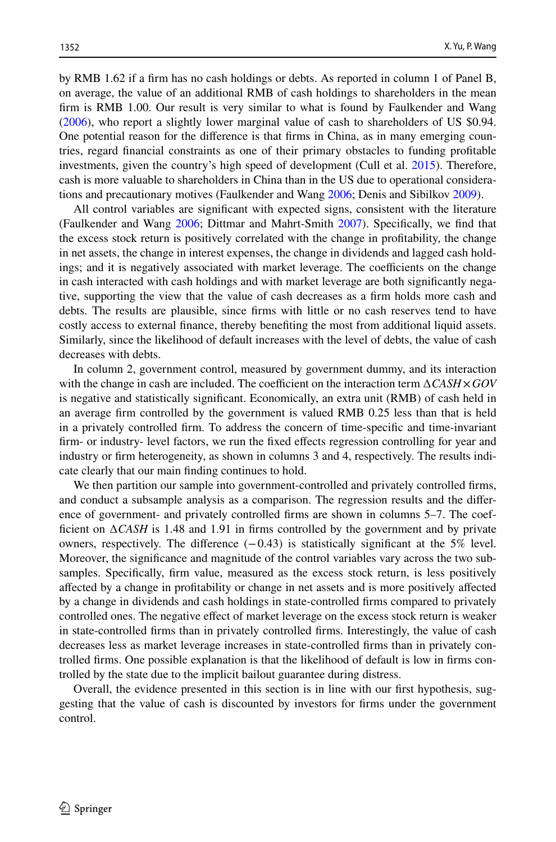by RMB 1.62 if a frm has no cash holdings or debts. As reported in column 1 of Panel B, on average, the value of an additional RMB of cash holdings to shareholders in the mean frm is RMB 1.00. Our result is very similar to what is found by Faulkender and Wang ([2006\)](#page-27-6), who report a slightly lower marginal value of cash to shareholders of US \$0.94. One potential reason for the diference is that frms in China, as in many emerging countries, regard fnancial constraints as one of their primary obstacles to funding proftable investments, given the country's high speed of development (Cull et al. [2015\)](#page-26-25). Therefore, cash is more valuable to shareholders in China than in the US due to operational considerations and precautionary motives (Faulkender and Wang [2006](#page-27-6); Denis and Sibilkov [2009](#page-26-8)).

All control variables are signifcant with expected signs, consistent with the literature (Faulkender and Wang [2006;](#page-27-6) Dittmar and Mahrt-Smith [2007](#page-26-7)). Specifcally, we fnd that the excess stock return is positively correlated with the change in proftability, the change in net assets, the change in interest expenses, the change in dividends and lagged cash holdings; and it is negatively associated with market leverage. The coefficients on the change in cash interacted with cash holdings and with market leverage are both signifcantly negative, supporting the view that the value of cash decreases as a frm holds more cash and debts. The results are plausible, since frms with little or no cash reserves tend to have costly access to external fnance, thereby benefting the most from additional liquid assets. Similarly, since the likelihood of default increases with the level of debts, the value of cash decreases with debts.

In column 2, government control, measured by government dummy, and its interaction with the change in cash are included. The coefficient on the interaction term ∆*CASH*×*GOV* is negative and statistically signifcant. Economically, an extra unit (RMB) of cash held in an average frm controlled by the government is valued RMB 0.25 less than that is held in a privately controlled frm. To address the concern of time-specifc and time-invariant frm- or industry- level factors, we run the fxed efects regression controlling for year and industry or frm heterogeneity, as shown in columns 3 and 4, respectively. The results indicate clearly that our main fnding continues to hold.

We then partition our sample into government-controlled and privately controlled frms, and conduct a subsample analysis as a comparison. The regression results and the diference of government- and privately controlled frms are shown in columns 5–7. The coefficient on  $\Delta$ *CASH* is 1.48 and 1.91 in firms controlled by the government and by private owners, respectively. The difference  $(-0.43)$  is statistically significant at the 5% level. Moreover, the signifcance and magnitude of the control variables vary across the two subsamples. Specifcally, frm value, measured as the excess stock return, is less positively afected by a change in proftability or change in net assets and is more positively afected by a change in dividends and cash holdings in state-controlled frms compared to privately controlled ones. The negative efect of market leverage on the excess stock return is weaker in state-controlled frms than in privately controlled frms. Interestingly, the value of cash decreases less as market leverage increases in state-controlled frms than in privately controlled frms. One possible explanation is that the likelihood of default is low in frms controlled by the state due to the implicit bailout guarantee during distress.

Overall, the evidence presented in this section is in line with our frst hypothesis, suggesting that the value of cash is discounted by investors for frms under the government control.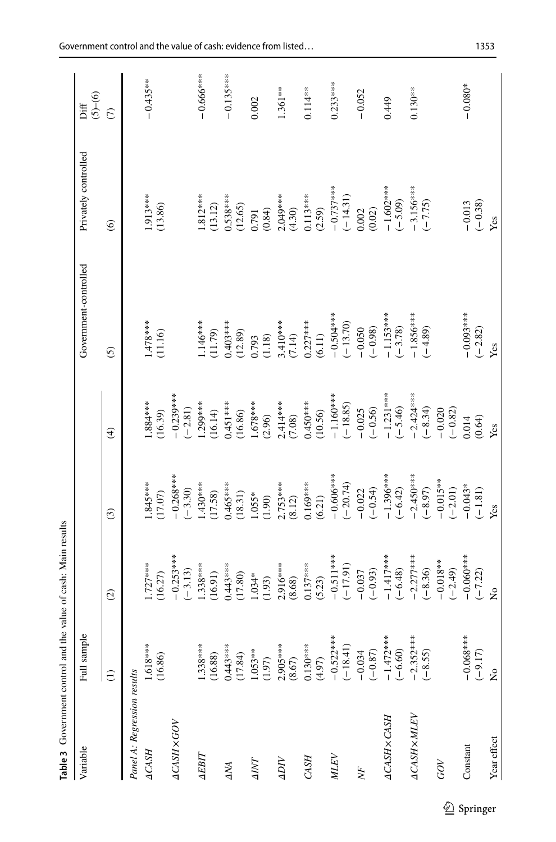<span id="page-12-0"></span>

| Table 3 Government control and the |                          | value of cash: Main results |                           |                                                    |                           |                              |                                           |
|------------------------------------|--------------------------|-----------------------------|---------------------------|----------------------------------------------------|---------------------------|------------------------------|-------------------------------------------|
| Variable                           | Full sample              |                             |                           |                                                    | Government-controlled     | Privately controlled         | $(5)-(6)$<br>$\mathop{\rm Diff}\nolimits$ |
|                                    | $\ominus$                | $\widehat{c}$               | $\odot$                   | $\widehat{\mathcal{F}}$                            | $\odot$                   | $\widehat{\odot}$            | $\widehat{C}$                             |
| Panel A: Regression results        |                          |                             |                           |                                                    |                           |                              |                                           |
| <b>ACASH</b>                       | $1.618***$<br>(16.86)    | .727***<br>(16.27)          | $.845***$<br>(17.07)      | ****88.<br>(16.39)                                 | $1.478***$<br>(11.16)     | 1.913***<br>(13.86)          | $-0.435***$                               |
| <b>ACASHXGOV</b>                   |                          | $-0.253***$<br>$(-3.13)$    | $-0.268***$<br>$(-3.30)$  | $-0.239***$<br>$(-2.81)$                           |                           |                              |                                           |
| $\Delta EBIT$                      | $1.338***$<br>(16.88)    | $.338***$<br>(16.91)        | $1.430***$<br>(17.58)     | 1.299***<br>(16.14)                                | 1.146***<br>(11.79)       | $1.812***$<br>(13.12)        | $-0.666$ ***                              |
| <b>ANA</b>                         | $0.443***$<br>(17.84)    | $0.443***$<br>(17.80)       | $0.465***$<br>(18.31)     | $0.451***$<br>(16.86)                              | $0.403***$<br>(12.89)     | $0.538***$<br>(12.65)        | $-0.135***$                               |
| $\Delta INT$                       | $1.053**$<br>(1.97)      | $1.034*$<br>(1.93)          | 1.055*<br>(1.90)          | $1.678***$<br>(2.96)                               | (1.18)<br>0.793           | (0.84)<br>0.791              | 0.002                                     |
| ADIV                               | $2.905***$<br>(8.67)     | 2.916***<br>(8.68)          | $2.753***$<br>(8.12)      | $2.414***$<br>(7.08)                               | $3.410***$<br>(7.14)      | $2.049***$<br>(4.30)         | 1.361**                                   |
| CASH                               | $0.130***$<br>(4.97)     | $0.137***$<br>(5.23)        | $0.169***$<br>(6.21)      | $0.450***$<br>(10.56)                              | $0.227***$<br>(6.11)      | $0.113***$<br>(2.59)         | $0.114**$                                 |
| <b>MLEV</b>                        | $-0.522***$<br>(-18.41)  | $-0.511***$<br>$(-17.91)$   | $-0.606$ **<br>$(-20.74)$ | $-1.160***$<br>$(-18.85)$                          | $-0.504***$<br>$(-13.70)$ | $-0.737***$<br>$(-14.31)$    | $0.233***$                                |
| ŊF                                 | $(-0.87)$<br>$-0.034$    | $(-0.93)$<br>$-0.037$       | $-0.022$<br>$(-0.54)$     | $(-0.56)$<br>$-0.025$                              | $-0.050$<br>$(-0.98)$     | $(0.02)$<br>0.002            | $-0.052$                                  |
| <b>ACASH X CASH</b>                | $-1.472***$<br>$(-6.60)$ | $-1.417***$<br>$(-6.48)$    | $-1.396***$<br>$(-6.42)$  | $-1.231***$<br>$(-5.46)$                           | $-1.153***$               | $-1.602***$<br>$(-5.09)$     | 0.449                                     |
| <b>ACASH X MLEV</b>                | $-2.352***$<br>$(-8.55)$ | $-2.277***$<br>$(-8.36)$    | $-2.450***$<br>$(-8.97)$  | $-2.424***$<br>$(-8.34)$                           | $-1.856***$<br>$(-4.89)$  | $-3.156***$<br>$(-7.75)$     | $0.130**$                                 |
| <b>GOV</b>                         |                          | $-0.018**$<br>$(-2.49)$     | $-0.015***$<br>$(-2.01)$  | $-0.020$<br>$(-0.82)$                              |                           |                              |                                           |
| Constant                           | $-0.068***$<br>$(-9.17)$ | $-0.060$ ***<br>$(-7.22)$   | $-0.043*$<br>$(-1.81)$    | $\begin{pmatrix} 1 \\ 0.64 \end{pmatrix}$<br>0.014 | $-0.093***$<br>$(-2.82)$  | $-0.013$<br>$(-0.38)$<br>Yes | $-0.080*$                                 |
| Year effect                        | $\frac{1}{2}$            | ż                           | Yes                       | Yes                                                | Yes                       |                              |                                           |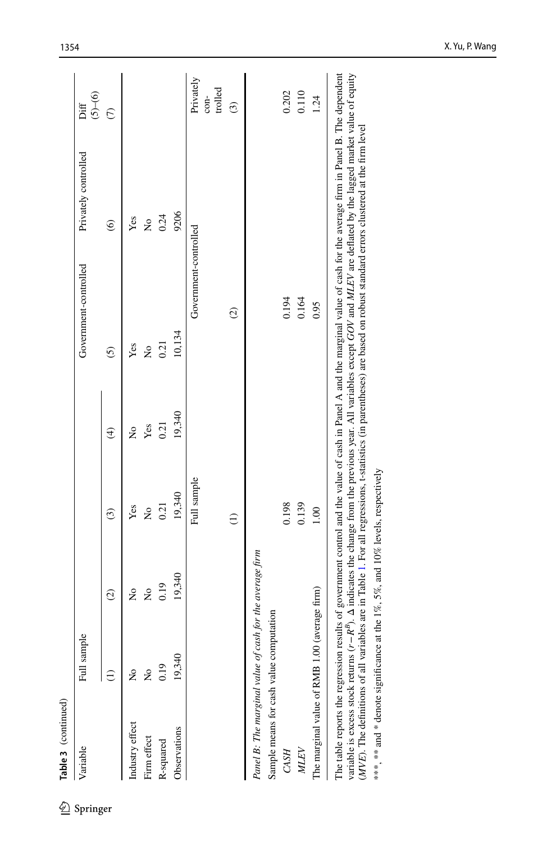| Table 3 (continued)                                                           |             |               |                 |               |                                                                                                                                                                                                                                                                                                                                                                                                                                                                                                                                                  |                      |                     |
|-------------------------------------------------------------------------------|-------------|---------------|-----------------|---------------|--------------------------------------------------------------------------------------------------------------------------------------------------------------------------------------------------------------------------------------------------------------------------------------------------------------------------------------------------------------------------------------------------------------------------------------------------------------------------------------------------------------------------------------------------|----------------------|---------------------|
| Variable                                                                      | Full sample |               |                 |               | Government-controlled                                                                                                                                                                                                                                                                                                                                                                                                                                                                                                                            | Privately controlled | $(5) - (6)$<br>Diff |
|                                                                               |             | $\widehat{c}$ | $\odot$         | $\widehat{f}$ | $\overline{6}$                                                                                                                                                                                                                                                                                                                                                                                                                                                                                                                                   | $\widehat{\circ}$    | $\widehat{C}$       |
| Industry effect                                                               | ž           | ż             | Yes             | ż             | Yes                                                                                                                                                                                                                                                                                                                                                                                                                                                                                                                                              | Yes                  |                     |
| Firm effect                                                                   | Ş           | Ş             | Σò              | Yes           | Ş                                                                                                                                                                                                                                                                                                                                                                                                                                                                                                                                                | 2                    |                     |
| R-squared                                                                     | 0.19        | 0.19          | 0.21            | 0.21          | 0.21                                                                                                                                                                                                                                                                                                                                                                                                                                                                                                                                             | 0.24                 |                     |
| Observations                                                                  | 19,340      | 19,340        | 19,340          | 19,340        | 10,134                                                                                                                                                                                                                                                                                                                                                                                                                                                                                                                                           | 9206                 |                     |
|                                                                               |             |               | Full sample     |               | Government-controlled                                                                                                                                                                                                                                                                                                                                                                                                                                                                                                                            |                      | Privately           |
|                                                                               |             |               |                 |               |                                                                                                                                                                                                                                                                                                                                                                                                                                                                                                                                                  |                      | trolled<br>$con-$   |
|                                                                               |             |               | $\widehat{\Xi}$ |               | $\widehat{c}$                                                                                                                                                                                                                                                                                                                                                                                                                                                                                                                                    |                      | $\widehat{c}$       |
| Panel B: The marginal value of cash for the average firm                      |             |               |                 |               |                                                                                                                                                                                                                                                                                                                                                                                                                                                                                                                                                  |                      |                     |
| Sample means for cash value computation                                       |             |               |                 |               |                                                                                                                                                                                                                                                                                                                                                                                                                                                                                                                                                  |                      |                     |
| CASH                                                                          |             |               | 0.198           |               | 0.194                                                                                                                                                                                                                                                                                                                                                                                                                                                                                                                                            |                      | 0.202               |
| MLEV                                                                          |             |               | 0.139           |               | 0.164                                                                                                                                                                                                                                                                                                                                                                                                                                                                                                                                            |                      | 0.110               |
| The marginal value of RMB 1.00 (average firm)                                 |             |               | 1.00            |               | 0.95                                                                                                                                                                                                                                                                                                                                                                                                                                                                                                                                             |                      | 1.24                |
| ***, ** and * denote significance at the 1%, 5%, and 10% levels, respectively |             |               |                 |               | The table reports the regression results of government control and the value of cash in Panel A and the marginal value of cash for the average firm in Panel B. The dependent<br>variable is excess stock returns $(r - R^B)$ . A indicates the change from the previous year. All variables except GOV and MLEV are deflated by the lagged market value of equity<br>(MVE). The definitions of all variables are in Table 1. For all regressions, t-statistics (in parentheses) are based on robust standard errors clustered at the firm level |                      |                     |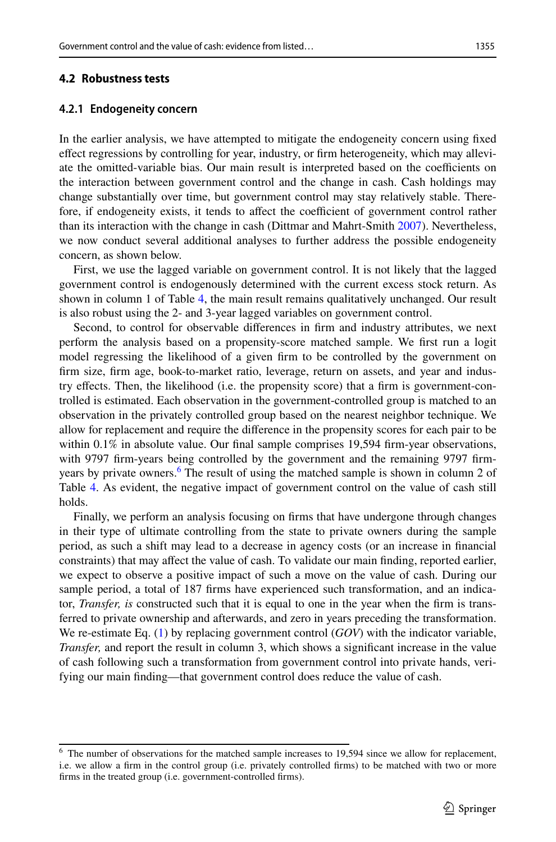#### **4.2.1 Endogeneity concern**

In the earlier analysis, we have attempted to mitigate the endogeneity concern using fxed efect regressions by controlling for year, industry, or frm heterogeneity, which may alleviate the omitted-variable bias. Our main result is interpreted based on the coefficients on the interaction between government control and the change in cash. Cash holdings may change substantially over time, but government control may stay relatively stable. Therefore, if endogeneity exists, it tends to affect the coefficient of government control rather than its interaction with the change in cash (Dittmar and Mahrt-Smith [2007](#page-26-7)). Nevertheless, we now conduct several additional analyses to further address the possible endogeneity concern, as shown below.

First, we use the lagged variable on government control. It is not likely that the lagged government control is endogenously determined with the current excess stock return. As shown in column 1 of Table [4,](#page-15-0) the main result remains qualitatively unchanged. Our result is also robust using the 2- and 3-year lagged variables on government control.

Second, to control for observable diferences in frm and industry attributes, we next perform the analysis based on a propensity-score matched sample. We frst run a logit model regressing the likelihood of a given frm to be controlled by the government on frm size, frm age, book-to-market ratio, leverage, return on assets, and year and industry efects. Then, the likelihood (i.e. the propensity score) that a frm is government-controlled is estimated. Each observation in the government-controlled group is matched to an observation in the privately controlled group based on the nearest neighbor technique. We allow for replacement and require the diference in the propensity scores for each pair to be within 0.1% in absolute value. Our final sample comprises 19,594 firm-year observations, with 9797 frm-years being controlled by the government and the remaining 9797 frm-years by private owners.<sup>[6](#page-14-0)</sup> The result of using the matched sample is shown in column 2 of Table [4.](#page-15-0) As evident, the negative impact of government control on the value of cash still holds.

Finally, we perform an analysis focusing on frms that have undergone through changes in their type of ultimate controlling from the state to private owners during the sample period, as such a shift may lead to a decrease in agency costs (or an increase in fnancial constraints) that may afect the value of cash. To validate our main fnding, reported earlier, we expect to observe a positive impact of such a move on the value of cash. During our sample period, a total of 187 frms have experienced such transformation, and an indicator, *Transfer, is* constructed such that it is equal to one in the year when the frm is transferred to private ownership and afterwards, and zero in years preceding the transformation. We re-estimate Eq. ([1\)](#page-7-2) by replacing government control (*GOV*) with the indicator variable, *Transfer*, and report the result in column 3, which shows a significant increase in the value of cash following such a transformation from government control into private hands, verifying our main fnding—that government control does reduce the value of cash.

<span id="page-14-0"></span><sup>&</sup>lt;sup>6</sup> The number of observations for the matched sample increases to 19,594 since we allow for replacement, i.e. we allow a frm in the control group (i.e. privately controlled frms) to be matched with two or more frms in the treated group (i.e. government-controlled frms).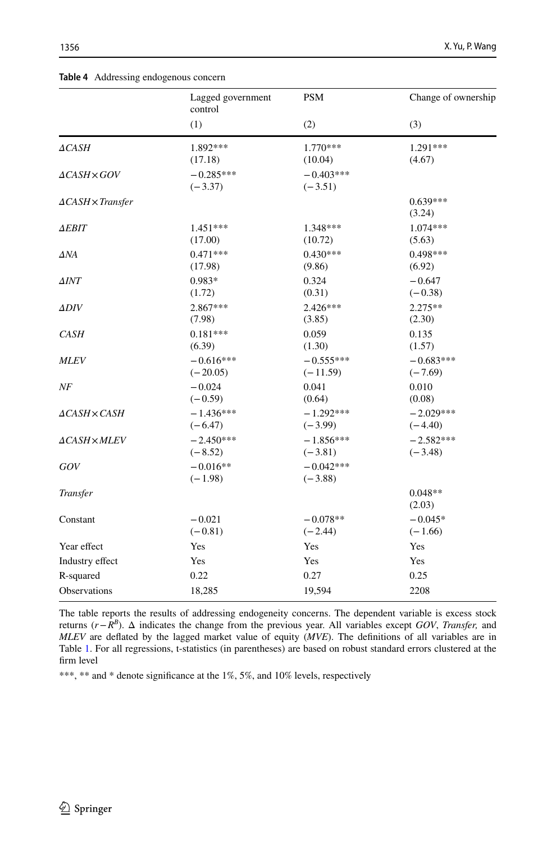#### 1356 X. Yu, P. Wang

|                                    | Lagged government<br>control | <b>PSM</b>               | Change of ownership  |
|------------------------------------|------------------------------|--------------------------|----------------------|
|                                    | (1)                          | (2)                      | (3)                  |
| $\triangle CASH$                   | 1.892***                     | $1.770***$               | $1.291***$           |
|                                    | (17.18)                      | (10.04)                  | (4.67)               |
| $\triangle CASH \times GOV$        | $-0.285***$<br>$(-3.37)$     | $-0.403***$<br>$(-3.51)$ |                      |
| $\triangle$ CASH $\times$ Transfer |                              |                          | $0.639***$<br>(3.24) |
| $\Delta EBIT$                      | $1.451***$                   | 1.348***                 | 1.074***             |
|                                    | (17.00)                      | (10.72)                  | (5.63)               |
| $\Delta N$ A                       | $0.471***$                   | $0.430***$               | $0.498***$           |
|                                    | (17.98)                      | (9.86)                   | (6.92)               |
| $\Delta INT$                       | 0.983*                       | 0.324                    | $-0.647$             |
|                                    | (1.72)                       | (0.31)                   | $(-0.38)$            |
| ΔDIV                               | 2.867***                     | 2.426***                 | $2.275**$            |
|                                    | (7.98)                       | (3.85)                   | (2.30)               |
| <b>CASH</b>                        | $0.181***$                   | 0.059                    | 0.135                |
|                                    | (6.39)                       | (1.30)                   | (1.57)               |
| <b>MLEV</b>                        | $-0.616***$                  | $-0.555***$              | $-0.683***$          |
|                                    | $(-20.05)$                   | $(-11.59)$               | $(-7.69)$            |
| NF                                 | $-0.024$                     | 0.041                    | 0.010                |
|                                    | $(-0.59)$                    | (0.64)                   | (0.08)               |
| <i>ACASH</i> × <i>CASH</i>         | $-1.436***$                  | $-1.292***$              | $-2.029***$          |
|                                    | $(-6.47)$                    | $(-3.99)$                | $(-4.40)$            |
| <i>ACASH×MLEV</i>                  | $-2.450***$                  | $-1.856***$              | $-2.582***$          |
|                                    | $(-8.52)$                    | $(-3.81)$                | $(-3.48)$            |
| GOV                                | $-0.016**$<br>$(-1.98)$      | $-0.042***$<br>$(-3.88)$ |                      |
| Transfer                           |                              |                          | $0.048**$<br>(2.03)  |
| Constant                           | $-0.021$                     | $-0.078**$               | $-0.045*$            |
|                                    | $(-0.81)$                    | $(-2.44)$                | $(-1.66)$            |
| Year effect                        | Yes                          | Yes                      | Yes                  |
| Industry effect                    | Yes                          | Yes                      | Yes                  |
| R-squared                          | 0.22                         | 0.27                     | 0.25                 |
| Observations                       | 18,285                       | 19,594                   | 2208                 |

<span id="page-15-0"></span>**Table 4** Addressing endogenous concern

The table reports the results of addressing endogeneity concerns. The dependent variable is excess stock returns (*r*−*RB*). Δ indicates the change from the previous year. All variables except *GOV*, *Transfer,* and *MLEV* are defated by the lagged market value of equity (*MVE*). The defnitions of all variables are in Table [1](#page-8-0). For all regressions, t-statistics (in parentheses) are based on robust standard errors clustered at the frm level

\*\*\*, \*\* and \* denote significance at the 1%, 5%, and 10% levels, respectively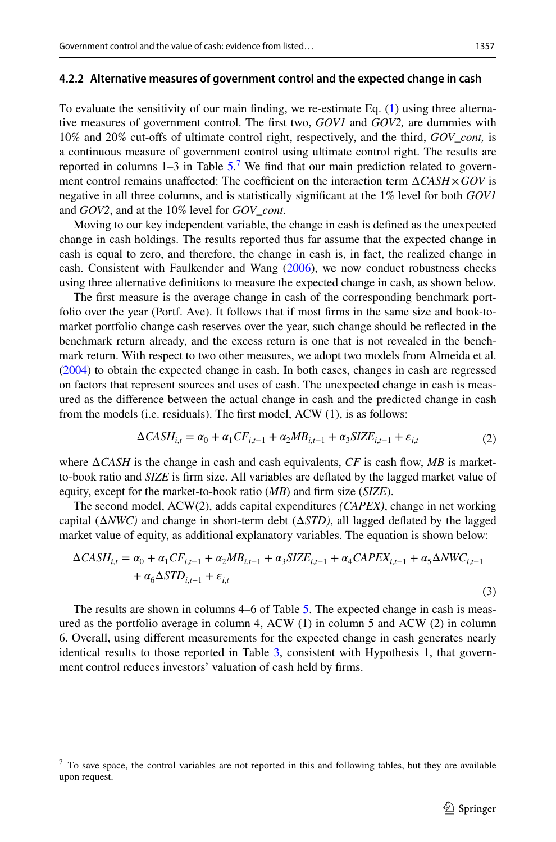#### **4.2.2 Alternative measures of government control and the expected change in cash**

To evaluate the sensitivity of our main fnding, we re-estimate Eq. ([1](#page-7-2)) using three alternative measures of government control. The frst two, *GOV1* and *GOV2,* are dummies with 10% and 20% cut-ofs of ultimate control right, respectively, and the third, *GOV\_cont,* is a continuous measure of government control using ultimate control right. The results are reported in columns  $1-3$  in Table  $5<sup>7</sup>$  $5<sup>7</sup>$  $5<sup>7</sup>$  We find that our main prediction related to government control remains unaffected: The coefficient on the interaction term  $\Delta CASH \times GOV$  is negative in all three columns, and is statistically signifcant at the 1% level for both *GOV1* and *GOV2*, and at the 10% level for *GOV*\_*cont*.

Moving to our key independent variable, the change in cash is defned as the unexpected change in cash holdings. The results reported thus far assume that the expected change in cash is equal to zero, and therefore, the change in cash is, in fact, the realized change in cash. Consistent with Faulkender and Wang ([2006\)](#page-27-6), we now conduct robustness checks using three alternative defnitions to measure the expected change in cash, as shown below.

The frst measure is the average change in cash of the corresponding benchmark portfolio over the year (Portf. Ave). It follows that if most frms in the same size and book-tomarket portfolio change cash reserves over the year, such change should be refected in the benchmark return already, and the excess return is one that is not revealed in the benchmark return. With respect to two other measures, we adopt two models from Almeida et al. ([2004\)](#page-26-6) to obtain the expected change in cash. In both cases, changes in cash are regressed on factors that represent sources and uses of cash. The unexpected change in cash is measured as the diference between the actual change in cash and the predicted change in cash from the models (i.e. residuals). The frst model, ACW (1), is as follows:

$$
\Delta CASH_{i,t} = \alpha_0 + \alpha_1 CF_{i,t-1} + \alpha_2 MB_{i,t-1} + \alpha_3 SIZE_{i,t-1} + \varepsilon_{i,t}
$$
\n(2)

where  $\Delta$ *CASH* is the change in cash and cash equivalents, *CF* is cash flow, *MB* is marketto-book ratio and *SIZE* is frm size. All variables are defated by the lagged market value of equity, except for the market-to-book ratio (*MB*) and frm size (*SIZE*).

The second model, ACW(2), adds capital expenditures *(CAPEX)*, change in net working capital (Δ*NWC)* and change in short-term debt (Δ*STD)*, all lagged defated by the lagged market value of equity, as additional explanatory variables. The equation is shown below:

$$
\Delta CASH_{i,t} = \alpha_0 + \alpha_1 CF_{i,t-1} + \alpha_2 MB_{i,t-1} + \alpha_3 SIZE_{i,t-1} + \alpha_4 CAPEX_{i,t-1} + \alpha_5 \Delta NWC_{i,t-1} + \alpha_6 \Delta STD_{i,t-1} + \varepsilon_{i,t}
$$

The results are shown in columns 4–6 of Table [5](#page-17-0). The expected change in cash is measured as the portfolio average in column 4, ACW (1) in column 5 and ACW (2) in column 6. Overall, using diferent measurements for the expected change in cash generates nearly identical results to those reported in Table [3](#page-12-0), consistent with Hypothesis 1, that government control reduces investors' valuation of cash held by frms.

(3)

<span id="page-16-0"></span><sup>7</sup> To save space, the control variables are not reported in this and following tables, but they are available upon request.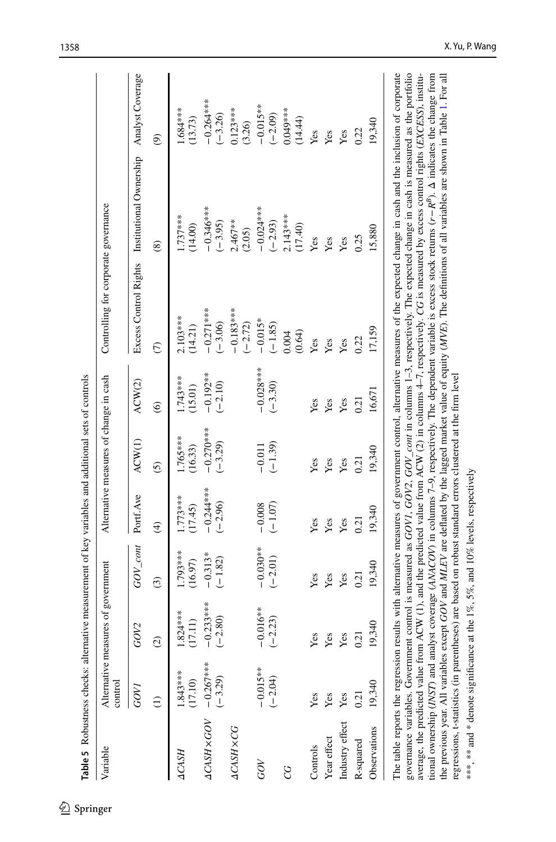| Variable                               | Alternative measures of government<br>control |                          |                         |                          |                          | Alternative measures of change in cash | Controlling for corporate governance |                          |                          |
|----------------------------------------|-----------------------------------------------|--------------------------|-------------------------|--------------------------|--------------------------|----------------------------------------|--------------------------------------|--------------------------|--------------------------|
|                                        | GOVI                                          | GOV <sub>2</sub>         | $GOV\_cont$             | Portf.Ave                | ACW(1)                   | ACW <sub>(2)</sub>                     | Excess Control Rights                | Institutional Ownership  | Analyst Coverage         |
|                                        | $\ominus$                                     | $\odot$                  | $\widehat{c}$           | $\widehat{\mathcal{F}}$  | $\odot$                  | $\widehat{\odot}$                      | $\widehat{\in}$                      | $\circledS$              | $\widehat{\mathfrak{G}}$ |
| ACASH                                  | 1.843***<br>(17.10)                           | $1.824***$<br>(17.11)    | $1.793***$<br>(16.97)   | $1.773***$<br>(17.45)    | 1.765***<br>(16.33)      | $1.743***$<br>(15.01)                  | $2.103***$<br>(14.21)                | $.737***$<br>(14.00)     | 1.684 ***<br>(13.73)     |
| $\triangle CASH \times GOV$ - 0.267*** | $(-3.29)$                                     | $-0.233***$<br>$(-2.80)$ | $-0.313*$<br>$(-1.82)$  | $-0.244***$<br>$(-2.96)$ | $-0.270$ **<br>$(-3.29)$ | $-0.192***$<br>$(-2.10)$               | $-0.271***$<br>$(-3.06)$             | $-0.346***$<br>$(-3.95)$ | $-0.264***$<br>$(-3.26)$ |
| <b>ACASH×CG</b>                        |                                               |                          |                         |                          |                          |                                        | $-0.183***$<br>$(-2.72)$             | $2.467**$<br>(2.05)      | $0.123***$<br>(3.26)     |
| <b>GOV</b>                             | $-0.015***$<br>$(-2.04)$                      | $-0.016**$<br>$(-2.23)$  | $-0.030**$<br>$(-2.01)$ | $-0.008$<br>$(-1.07)$    | $(-1.39)$<br>$-0.011$    | $-0.028***$<br>$(-3.30)$               | $-0.015*$<br>$(-1.85)$               | $-0.024***$<br>$(-2.93)$ | $-0.015***$<br>$(-2.09)$ |
| S                                      |                                               |                          |                         |                          |                          |                                        | 0.004<br>(0.64)                      | $2.143***$<br>(17.40)    | $0.049***$<br>(14.44)    |
| Controls                               | Yes                                           | Yes                      | Yes                     | Yes                      | Yes                      | Yes                                    | Yes                                  | Yes                      | Yes                      |
| Year effect                            | Yes                                           | Yes                      | Yes                     | Yes                      | Yes                      | Yes                                    | Yes                                  | Yes                      | Yes                      |
| Industry effect                        | Yes                                           | Yes                      | Yes                     | Yes                      | Yes                      | Yes                                    | Yes                                  | Yes                      | Yes                      |
| R-squared                              | 0.21                                          | $\overline{0.2}$         | 0.21                    | 0.21                     | 0.21                     | 0.21                                   | 0.22                                 | 0.25                     | 0.22                     |
| Observations                           | 19,340                                        | 340<br>19.               | 19,340                  | 19,340                   | 19,340                   | 16,671                                 | 17,159                               | 15,880                   | 19,340                   |

<span id="page-17-0"></span>\*\*\*, \*\* and \* denote significance at the 1%, 5%, and 10% levels, respectively \*\*\*, \*\* and \* denote signifcance at the 1%, 5%, and 10% levels, respectively

regressions, t-statistics (in parentheses) are based on robust standard errors clustered at the frm level

regressions, t-statistics (in parentheses) are based on robust standard errors clustered at the firm level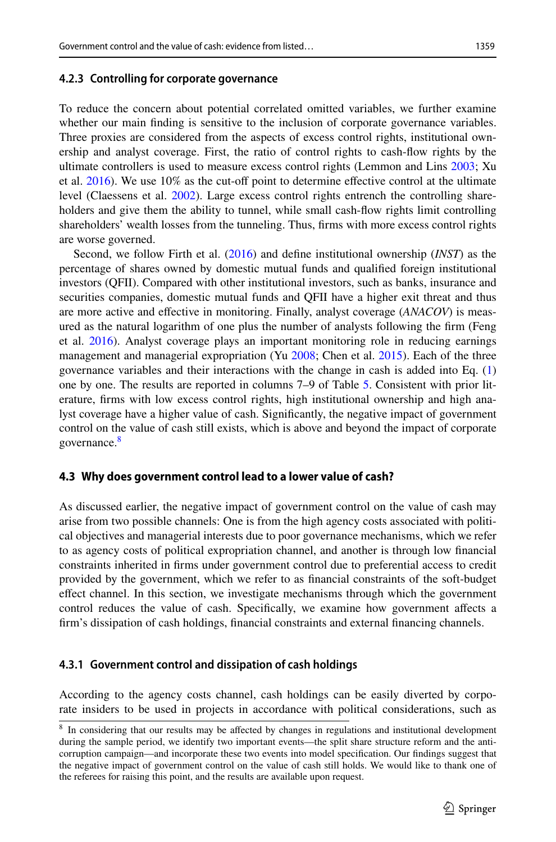#### **4.2.3 Controlling for corporate governance**

To reduce the concern about potential correlated omitted variables, we further examine whether our main fnding is sensitive to the inclusion of corporate governance variables. Three proxies are considered from the aspects of excess control rights, institutional ownership and analyst coverage. First, the ratio of control rights to cash-fow rights by the ultimate controllers is used to measure excess control rights (Lemmon and Lins [2003;](#page-27-26) Xu et al. [2016](#page-28-0)). We use 10% as the cut-off point to determine effective control at the ultimate level (Claessens et al. [2002\)](#page-26-23). Large excess control rights entrench the controlling shareholders and give them the ability to tunnel, while small cash-fow rights limit controlling shareholders' wealth losses from the tunneling. Thus, frms with more excess control rights are worse governed.

Second, we follow Firth et al. ([2016\)](#page-27-27) and defne institutional ownership (*INST*) as the percentage of shares owned by domestic mutual funds and qualifed foreign institutional investors (QFII). Compared with other institutional investors, such as banks, insurance and securities companies, domestic mutual funds and QFII have a higher exit threat and thus are more active and efective in monitoring. Finally, analyst coverage (*ANACOV*) is measured as the natural logarithm of one plus the number of analysts following the frm (Feng et al. [2016\)](#page-27-28). Analyst coverage plays an important monitoring role in reducing earnings management and managerial expropriation (Yu [2008](#page-28-1); Chen et al. [2015](#page-26-26)). Each of the three governance variables and their interactions with the change in cash is added into Eq. ([1](#page-7-2)) one by one. The results are reported in columns 7–9 of Table [5.](#page-17-0) Consistent with prior literature, frms with low excess control rights, high institutional ownership and high analyst coverage have a higher value of cash. Signifcantly, the negative impact of government control on the value of cash still exists, which is above and beyond the impact of corporate governance.<sup>[8](#page-18-0)</sup>

## **4.3 Why does government control lead to a lower value of cash?**

As discussed earlier, the negative impact of government control on the value of cash may arise from two possible channels: One is from the high agency costs associated with political objectives and managerial interests due to poor governance mechanisms, which we refer to as agency costs of political expropriation channel, and another is through low fnancial constraints inherited in frms under government control due to preferential access to credit provided by the government, which we refer to as fnancial constraints of the soft-budget efect channel. In this section, we investigate mechanisms through which the government control reduces the value of cash. Specifcally, we examine how government afects a frm's dissipation of cash holdings, fnancial constraints and external fnancing channels.

## **4.3.1 Government control and dissipation of cash holdings**

According to the agency costs channel, cash holdings can be easily diverted by corporate insiders to be used in projects in accordance with political considerations, such as

<span id="page-18-0"></span><sup>&</sup>lt;sup>8</sup> In considering that our results may be affected by changes in regulations and institutional development during the sample period, we identify two important events—the split share structure reform and the anticorruption campaign—and incorporate these two events into model specifcation. Our fndings suggest that the negative impact of government control on the value of cash still holds. We would like to thank one of the referees for raising this point, and the results are available upon request.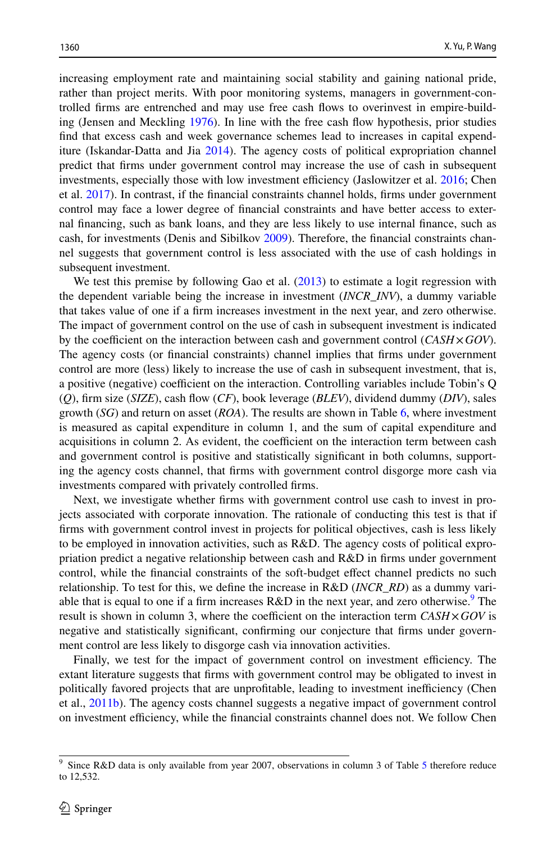increasing employment rate and maintaining social stability and gaining national pride, rather than project merits. With poor monitoring systems, managers in government-controlled frms are entrenched and may use free cash fows to overinvest in empire-building (Jensen and Meckling [1976\)](#page-27-12). In line with the free cash fow hypothesis, prior studies fnd that excess cash and week governance schemes lead to increases in capital expend-iture (Iskandar-Datta and Jia [2014](#page-27-29)). The agency costs of political expropriation channel predict that frms under government control may increase the use of cash in subsequent investments, especially those with low investment efficiency (Jaslowitzer et al. [2016](#page-27-10); Chen et al. [2017](#page-26-14)). In contrast, if the fnancial constraints channel holds, frms under government control may face a lower degree of fnancial constraints and have better access to external fnancing, such as bank loans, and they are less likely to use internal fnance, such as cash, for investments (Denis and Sibilkov [2009\)](#page-26-8). Therefore, the fnancial constraints channel suggests that government control is less associated with the use of cash holdings in subsequent investment.

We test this premise by following Gao et al.  $(2013)$  $(2013)$  to estimate a logit regression with the dependent variable being the increase in investment (*INCR\_INV*), a dummy variable that takes value of one if a frm increases investment in the next year, and zero otherwise. The impact of government control on the use of cash in subsequent investment is indicated by the coefficient on the interaction between cash and government control  $(CASH \times GOV)$ . The agency costs (or fnancial constraints) channel implies that frms under government control are more (less) likely to increase the use of cash in subsequent investment, that is, a positive (negative) coefficient on the interaction. Controlling variables include Tobin's Q (*Q*), frm size (*SIZE*), cash fow (*CF*), book leverage (*BLEV*), dividend dummy (*DIV*), sales growth (*SG*) and return on asset (*ROA*). The results are shown in Table [6](#page-20-0), where investment is measured as capital expenditure in column 1, and the sum of capital expenditure and acquisitions in column 2. As evident, the coefficient on the interaction term between cash and government control is positive and statistically signifcant in both columns, supporting the agency costs channel, that frms with government control disgorge more cash via investments compared with privately controlled frms.

Next, we investigate whether frms with government control use cash to invest in projects associated with corporate innovation. The rationale of conducting this test is that if frms with government control invest in projects for political objectives, cash is less likely to be employed in innovation activities, such as R&D. The agency costs of political expropriation predict a negative relationship between cash and R&D in frms under government control, while the fnancial constraints of the soft-budget efect channel predicts no such relationship. To test for this, we defne the increase in R&D (*INCR\_RD*) as a dummy variable that is equal to one if a firm increases  $R&D$  in the next year, and zero otherwise. <sup>9</sup> The result is shown in column 3, where the coefficient on the interaction term *CASH*×*GOV* is negative and statistically signifcant, confrming our conjecture that frms under government control are less likely to disgorge cash via innovation activities.

Finally, we test for the impact of government control on investment efficiency. The extant literature suggests that frms with government control may be obligated to invest in politically favored projects that are unprofitable, leading to investment inefficiency (Chen et al., [2011b](#page-26-16)). The agency costs channel suggests a negative impact of government control on investment efficiency, while the financial constraints channel does not. We follow Chen

<span id="page-19-0"></span>Since R&D data is only available from year 2007, observations in column 3 of Table [5](#page-17-0) therefore reduce to 12,532.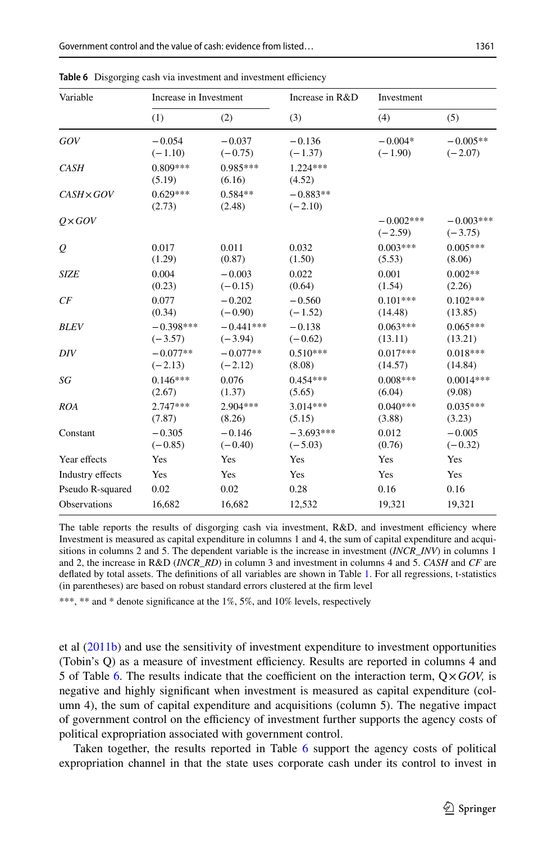| Variable          | Increase in Investment |                      | Increase in R&D         | Investment               |                          |
|-------------------|------------------------|----------------------|-------------------------|--------------------------|--------------------------|
|                   | (1)                    | (2)                  | (3)                     | (4)                      | (5)                      |
| GOV               | $-0.054$               | $-0.037$             | $-0.136$                | $-0.004*$                | $-0.005**$               |
|                   | $(-1.10)$              | $(-0.75)$            | $(-1.37)$               | $(-1.90)$                | $(-2.07)$                |
| <b>CASH</b>       | $0.809***$<br>(5.19)   | $0.985***$<br>(6.16) | $1.224***$<br>(4.52)    |                          |                          |
| $CASH \times GOV$ | $0.629***$<br>(2.73)   | $0.584**$<br>(2.48)  | $-0.883**$<br>$(-2.10)$ |                          |                          |
| $Q \times GOV$    |                        |                      |                         | $-0.002***$<br>$(-2.59)$ | $-0.003***$<br>$(-3.75)$ |
| $\varrho$         | 0.017                  | 0.011                | 0.032                   | $0.003***$               | $0.005***$               |
|                   | (1.29)                 | (0.87)               | (1.50)                  | (5.53)                   | (8.06)                   |
| <b>SIZE</b>       | 0.004                  | $-0.003$             | 0.022                   | 0.001                    | $0.002**$                |
|                   | (0.23)                 | $(-0.15)$            | (0.64)                  | (1.54)                   | (2.26)                   |
| CF                | 0.077                  | $-0.202$             | $-0.560$                | $0.101***$               | $0.102***$               |
|                   | (0.34)                 | $(-0.90)$            | $(-1.52)$               | (14.48)                  | (13.85)                  |
| <b>BLEV</b>       | $-0.398***$            | $-0.441***$          | $-0.138$                | $0.063***$               | $0.065***$               |
|                   | $(-3.57)$              | $(-3.94)$            | $(-0.62)$               | (13.11)                  | (13.21)                  |
| DIV               | $-0.077**$             | $-0.077**$           | $0.510***$              | $0.017***$               | $0.018***$               |
|                   | $(-2.13)$              | $(-2.12)$            | (8.08)                  | (14.57)                  | (14.84)                  |
| SG                | $0.146***$             | 0.076                | $0.454***$              | $0.008***$               | $0.0014***$              |
|                   | (2.67)                 | (1.37)               | (5.65)                  | (6.04)                   | (9.08)                   |
| <b>ROA</b>        | $2.747***$             | 2.904***             | $3.014***$              | $0.040***$               | $0.035***$               |
|                   | (7.87)                 | (8.26)               | (5.15)                  | (3.88)                   | (3.23)                   |
| Constant          | $-0.305$               | $-0.146$             | $-3.693***$             | 0.012                    | $-0.005$                 |
|                   | $(-0.85)$              | $(-0.40)$            | $(-5.03)$               | (0.76)                   | $(-0.32)$                |
| Year effects      | Yes                    | Yes                  | Yes                     | Yes                      | Yes                      |
| Industry effects  | Yes                    | Yes                  | Yes                     | Yes                      | Yes                      |
| Pseudo R-squared  | 0.02                   | 0.02                 | 0.28                    | 0.16                     | 0.16                     |
| Observations      | 16,682                 | 16,682               | 12,532                  | 19,321                   | 19,321                   |

<span id="page-20-0"></span>**Table 6** Disgorging cash via investment and investment efficiency

The table reports the results of disgorging cash via investment,  $R&D$ , and investment efficiency where Investment is measured as capital expenditure in columns 1 and 4, the sum of capital expenditure and acquisitions in columns 2 and 5. The dependent variable is the increase in investment (*INCR\_INV*) in columns 1 and 2, the increase in R&D (*INCR\_RD*) in column 3 and investment in columns 4 and 5. *CASH* and *CF* are defated by total assets. The defnitions of all variables are shown in Table [1](#page-8-0). For all regressions, t-statistics (in parentheses) are based on robust standard errors clustered at the frm level

\*\*\*, \*\* and \* denote significance at the 1%, 5%, and 10% levels, respectively

et al ([2011b\)](#page-26-16) and use the sensitivity of investment expenditure to investment opportunities (Tobin's Q) as a measure of investment efficiency. Results are reported in columns 4 and 5 of Table [6](#page-20-0). The results indicate that the coefficient on the interaction term,  $Q \times GOV$ , is negative and highly signifcant when investment is measured as capital expenditure (column 4), the sum of capital expenditure and acquisitions (column 5). The negative impact of government control on the efficiency of investment further supports the agency costs of political expropriation associated with government control.

Taken together, the results reported in Table [6](#page-20-0) support the agency costs of political expropriation channel in that the state uses corporate cash under its control to invest in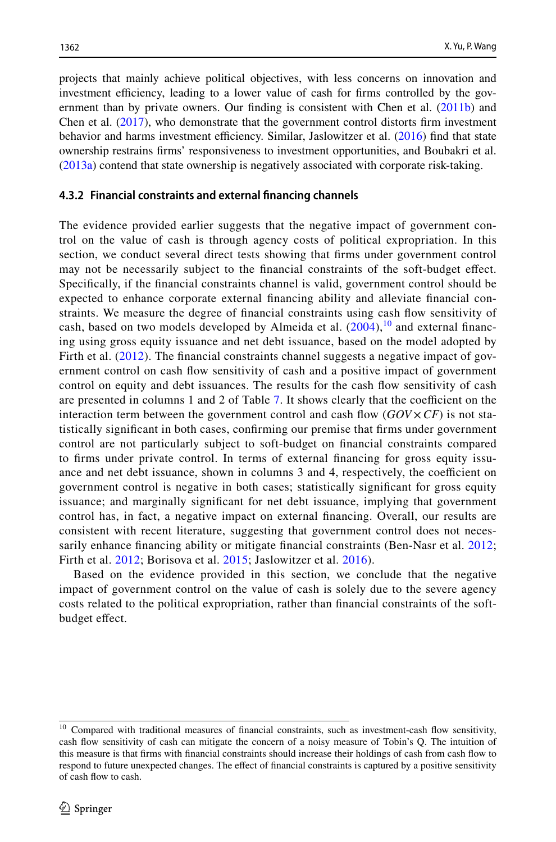projects that mainly achieve political objectives, with less concerns on innovation and investment efficiency, leading to a lower value of cash for firms controlled by the gov-ernment than by private owners. Our finding is consistent with Chen et al. [\(2011b](#page-26-16)) and Chen et al. [\(2017](#page-26-14)), who demonstrate that the government control distorts frm investment behavior and harms investment efficiency. Similar, Jaslowitzer et al. ([2016\)](#page-27-10) find that state ownership restrains frms' responsiveness to investment opportunities, and Boubakri et al. ([2013a](#page-26-27)) contend that state ownership is negatively associated with corporate risk-taking.

## **4.3.2 Financial constraints and external fnancing channels**

The evidence provided earlier suggests that the negative impact of government control on the value of cash is through agency costs of political expropriation. In this section, we conduct several direct tests showing that frms under government control may not be necessarily subject to the fnancial constraints of the soft-budget efect. Specifcally, if the fnancial constraints channel is valid, government control should be expected to enhance corporate external fnancing ability and alleviate fnancial constraints. We measure the degree of fnancial constraints using cash fow sensitivity of cash, based on two models developed by Almeida et al.  $(2004)$ , <sup>10</sup> and external financing using gross equity issuance and net debt issuance, based on the model adopted by Firth et al. [\(2012](#page-27-9)). The financial constraints channel suggests a negative impact of government control on cash fow sensitivity of cash and a positive impact of government control on equity and debt issuances. The results for the cash fow sensitivity of cash are presented in columns 1 and 2 of Table [7](#page-22-1). It shows clearly that the coefficient on the interaction term between the government control and cash flow  $(GOV \times CF)$  is not statistically signifcant in both cases, confrming our premise that frms under government control are not particularly subject to soft-budget on fnancial constraints compared to frms under private control. In terms of external fnancing for gross equity issuance and net debt issuance, shown in columns 3 and 4, respectively, the coefficient on government control is negative in both cases; statistically signifcant for gross equity issuance; and marginally signifcant for net debt issuance, implying that government control has, in fact, a negative impact on external fnancing. Overall, our results are consistent with recent literature, suggesting that government control does not neces-sarily enhance financing ability or mitigate financial constraints (Ben-Nasr et al. [2012;](#page-26-11) Firth et al. [2012;](#page-27-9) Borisova et al. [2015](#page-26-2); Jaslowitzer et al. [2016\)](#page-27-10).

Based on the evidence provided in this section, we conclude that the negative impact of government control on the value of cash is solely due to the severe agency costs related to the political expropriation, rather than fnancial constraints of the softbudget efect.

<span id="page-21-0"></span><sup>&</sup>lt;sup>10</sup> Compared with traditional measures of financial constraints, such as investment-cash flow sensitivity, cash fow sensitivity of cash can mitigate the concern of a noisy measure of Tobin's Q. The intuition of this measure is that frms with fnancial constraints should increase their holdings of cash from cash fow to respond to future unexpected changes. The efect of fnancial constraints is captured by a positive sensitivity of cash fow to cash.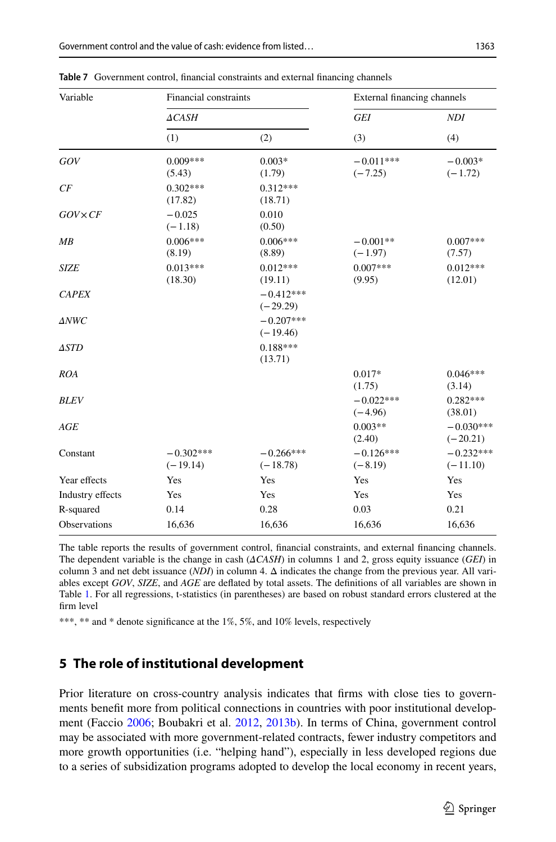| Variable         | Financial constraints     |                           | External financing channels |                           |
|------------------|---------------------------|---------------------------|-----------------------------|---------------------------|
|                  | $\triangle CASH$          |                           | <b>GEI</b>                  | <b>NDI</b>                |
|                  | (1)                       | (2)                       | (3)                         | (4)                       |
| GOV              | $0.009***$<br>(5.43)      | $0.003*$<br>(1.79)        | $-0.011***$<br>$(-7.25)$    | $-0.003*$<br>$(-1.72)$    |
| CF               | $0.302***$<br>(17.82)     | $0.312***$<br>(18.71)     |                             |                           |
| $GOV \times CF$  | $-0.025$<br>$(-1.18)$     | 0.010<br>(0.50)           |                             |                           |
| MB               | $0.006***$<br>(8.19)      | $0.006***$<br>(8.89)      | $-0.001**$<br>$(-1.97)$     | $0.007***$<br>(7.57)      |
| <b>SIZE</b>      | $0.013***$<br>(18.30)     | $0.012***$<br>(19.11)     | $0.007***$<br>(9.95)        | $0.012***$<br>(12.01)     |
| <b>CAPEX</b>     |                           | $-0.412***$<br>$(-29.29)$ |                             |                           |
| <b>ANWC</b>      |                           | $-0.207***$<br>$(-19.46)$ |                             |                           |
| <b>ASTD</b>      |                           | $0.188***$<br>(13.71)     |                             |                           |
| <b>ROA</b>       |                           |                           | $0.017*$<br>(1.75)          | $0.046***$<br>(3.14)      |
| <b>BLEV</b>      |                           |                           | $-0.022***$<br>$(-4.96)$    | $0.282***$<br>(38.01)     |
| AGE              |                           |                           | $0.003**$<br>(2.40)         | $-0.030***$<br>$(-20.21)$ |
| Constant         | $-0.302***$<br>$(-19.14)$ | $-0.266***$<br>$(-18.78)$ | $-0.126***$<br>$(-8.19)$    | $-0.232***$<br>$(-11.10)$ |
| Year effects     | Yes                       | Yes                       | Yes                         | Yes                       |
| Industry effects | Yes                       | Yes                       | Yes                         | Yes                       |
| R-squared        | 0.14                      | 0.28                      | 0.03                        | 0.21                      |
| Observations     | 16,636                    | 16,636                    | 16,636                      | 16,636                    |

<span id="page-22-1"></span>**Table 7** Government control, fnancial constraints and external fnancing channels

The table reports the results of government control, fnancial constraints, and external fnancing channels. The dependent variable is the change in cash (*ΔCASH*) in columns 1 and 2, gross equity issuance (*GEI*) in column 3 and net debt issuance (*NDI*) in column 4. Δ indicates the change from the previous year. All variables except *GOV*, *SIZE*, and *AGE* are defated by total assets. The defnitions of all variables are shown in Table [1](#page-8-0). For all regressions, t-statistics (in parentheses) are based on robust standard errors clustered at the frm level

\*\*\*, \*\* and \* denote significance at the 1%, 5%, and 10% levels, respectively

# <span id="page-22-0"></span>**5 The role of institutional development**

Prior literature on cross-country analysis indicates that frms with close ties to governments beneft more from political connections in countries with poor institutional development (Faccio [2006](#page-27-24); Boubakri et al. [2012,](#page-26-21) [2013b](#page-26-22)). In terms of China, government control may be associated with more government-related contracts, fewer industry competitors and more growth opportunities (i.e. "helping hand"), especially in less developed regions due to a series of subsidization programs adopted to develop the local economy in recent years,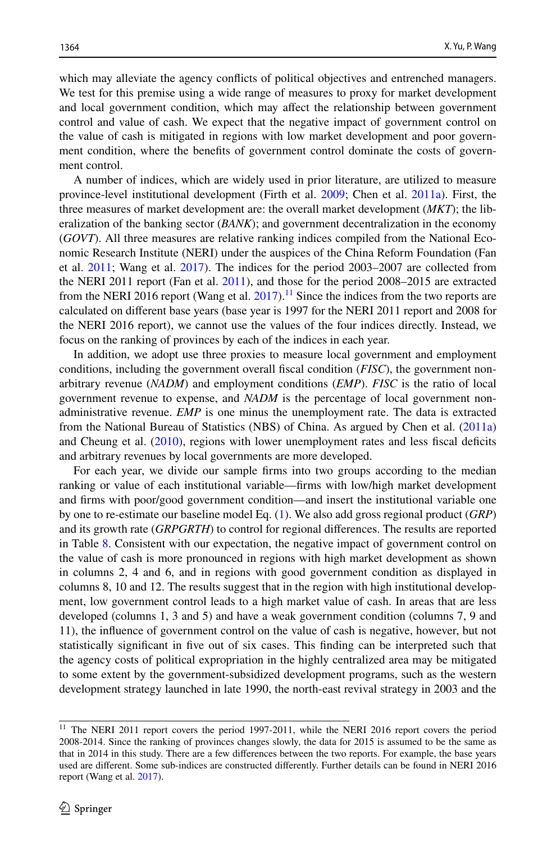which may alleviate the agency conflicts of political objectives and entrenched managers. We test for this premise using a wide range of measures to proxy for market development and local government condition, which may afect the relationship between government control and value of cash. We expect that the negative impact of government control on the value of cash is mitigated in regions with low market development and poor government condition, where the benefts of government control dominate the costs of government control.

A number of indices, which are widely used in prior literature, are utilized to measure province-level institutional development (Firth et al. [2009;](#page-27-31) Chen et al. [2011a\)](#page-26-28). First, the three measures of market development are: the overall market development (*MKT*); the liberalization of the banking sector (*BANK*); and government decentralization in the economy (*GOVT*). All three measures are relative ranking indices compiled from the National Economic Research Institute (NERI) under the auspices of the China Reform Foundation (Fan et al. [2011](#page-27-32); Wang et al. [2017](#page-28-2)). The indices for the period 2003–2007 are collected from the NERI 2011 report (Fan et al. [2011\)](#page-27-32), and those for the period 2008–2015 are extracted from the NERI 2016 report (Wang et al.  $2017$ ).<sup>[11](#page-23-0)</sup> Since the indices from the two reports are calculated on diferent base years (base year is 1997 for the NERI 2011 report and 2008 for the NERI 2016 report), we cannot use the values of the four indices directly. Instead, we focus on the ranking of provinces by each of the indices in each year.

In addition, we adopt use three proxies to measure local government and employment conditions, including the government overall fscal condition (*FISC*), the government nonarbitrary revenue (*NADM*) and employment conditions (*EMP*). *FISC* is the ratio of local government revenue to expense, and *NADM* is the percentage of local government nonadministrative revenue. *EMP* is one minus the unemployment rate. The data is extracted from the National Bureau of Statistics (NBS) of China. As argued by Chen et al. [\(2011a](#page-26-28)) and Cheung et al. [\(2010](#page-26-29)), regions with lower unemployment rates and less fiscal deficits and arbitrary revenues by local governments are more developed.

For each year, we divide our sample frms into two groups according to the median ranking or value of each institutional variable—frms with low/high market development and frms with poor/good government condition—and insert the institutional variable one by one to re-estimate our baseline model Eq. [\(1](#page-7-2)). We also add gross regional product (*GRP*) and its growth rate (*GRPGRTH*) to control for regional diferences. The results are reported in Table [8.](#page-24-0) Consistent with our expectation, the negative impact of government control on the value of cash is more pronounced in regions with high market development as shown in columns 2, 4 and 6, and in regions with good government condition as displayed in columns 8, 10 and 12. The results suggest that in the region with high institutional development, low government control leads to a high market value of cash. In areas that are less developed (columns 1, 3 and 5) and have a weak government condition (columns 7, 9 and 11), the infuence of government control on the value of cash is negative, however, but not statistically signifcant in fve out of six cases. This fnding can be interpreted such that the agency costs of political expropriation in the highly centralized area may be mitigated to some extent by the government-subsidized development programs, such as the western development strategy launched in late 1990, the north-east revival strategy in 2003 and the

<span id="page-23-0"></span><sup>&</sup>lt;sup>11</sup> The NERI 2011 report covers the period 1997-2011, while the NERI 2016 report covers the period 2008-2014. Since the ranking of provinces changes slowly, the data for 2015 is assumed to be the same as that in 2014 in this study. There are a few diferences between the two reports. For example, the base years used are diferent. Some sub-indices are constructed diferently. Further details can be found in NERI 2016 report (Wang et al. [2017\)](#page-28-2).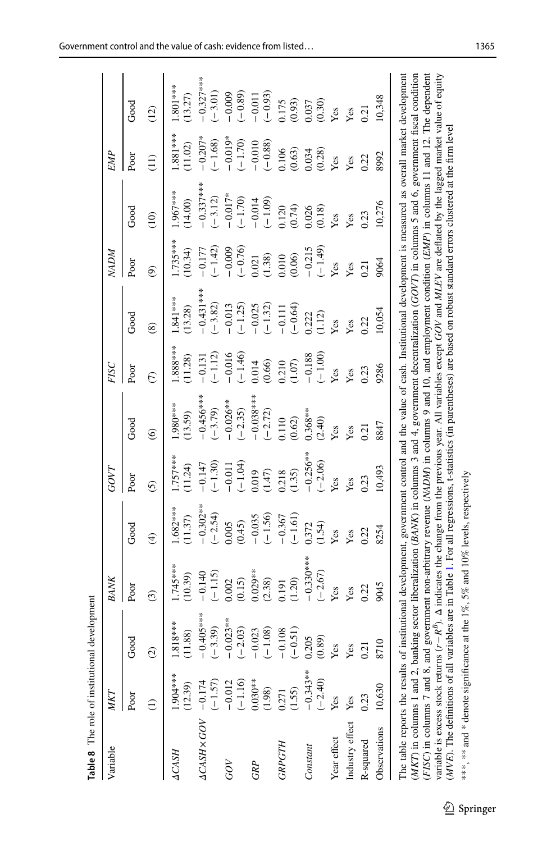| Variable                                                                                                                                                                                                                                                                                                                                                                                                                                                                                                                                                                                                                                                                                                        | <b>MKT</b>             |                          | <b>BANK</b>                                                                                                                            |                       | LAOS                  |                        | FISC                  |                          | NADM                                                                |                        | EMP                   |                                                                    |
|-----------------------------------------------------------------------------------------------------------------------------------------------------------------------------------------------------------------------------------------------------------------------------------------------------------------------------------------------------------------------------------------------------------------------------------------------------------------------------------------------------------------------------------------------------------------------------------------------------------------------------------------------------------------------------------------------------------------|------------------------|--------------------------|----------------------------------------------------------------------------------------------------------------------------------------|-----------------------|-----------------------|------------------------|-----------------------|--------------------------|---------------------------------------------------------------------|------------------------|-----------------------|--------------------------------------------------------------------|
|                                                                                                                                                                                                                                                                                                                                                                                                                                                                                                                                                                                                                                                                                                                 | Poor                   | Good                     | Poor                                                                                                                                   | Good                  | Poor                  | Good                   | Poor                  | Good                     | Poor                                                                | Good                   | Poor                  | Good                                                               |
|                                                                                                                                                                                                                                                                                                                                                                                                                                                                                                                                                                                                                                                                                                                 |                        | $\odot$                  | $\widehat{c}$                                                                                                                          | E                     | $\widehat{c}$         | $\widehat{\circ}$      | $\widehat{\in}$       | $\circledS$              | ම                                                                   | (10)                   | (11)                  | (12)                                                               |
| ACASH                                                                                                                                                                                                                                                                                                                                                                                                                                                                                                                                                                                                                                                                                                           | $1.904***$<br>(12.39)  | 1.818***<br>(11.88)      | $1.745***$<br>10.39)                                                                                                                   | $.682***$<br>11.37)   | $.757***$<br>11.24)   | $***80***$<br>13.59)   | $888***$<br>11.28)    | $.841***$<br>13.28)      | $.735***$<br>(10.34)                                                | $.967***$<br>14.00)    | $.881***$<br>11.02)   | $-.801***$<br>13.27                                                |
| <b>ACASH×GOV</b>                                                                                                                                                                                                                                                                                                                                                                                                                                                                                                                                                                                                                                                                                                | $-0.174$               |                          | $-0.140$                                                                                                                               | $-0.302***$           | $-0.147$              |                        |                       |                          |                                                                     | $-0.337***$            | $-0.207*$             | $-0.327***$                                                        |
|                                                                                                                                                                                                                                                                                                                                                                                                                                                                                                                                                                                                                                                                                                                 | $(-1.57)$              | $-0.405***$<br>$(-3.39)$ | $-1.15$                                                                                                                                | $(-2.54)$             | $(-1.30)$             | $-0.456***$            | $-0.131$<br>$(-1.12)$ | $-0.431***$<br>$(-3.82)$ | $-0.177$<br>$(-1.42)$                                               | $(-3.12)$              | $(-1.68)$             | $(-3.01)$                                                          |
| GOV                                                                                                                                                                                                                                                                                                                                                                                                                                                                                                                                                                                                                                                                                                             | $-0.012$               | $-0.023**$<br>$(-2.03)$  | 0.002                                                                                                                                  | 0.005                 | $-0.011$<br>$(-1.04)$ | $-0.026**$             | $-0.016$<br>$(-1.46)$ | $-0.013$                 | $-0.009$                                                            | $-0.017*$<br>$(-1.70)$ | $-0.019*$             | $-0.009$                                                           |
|                                                                                                                                                                                                                                                                                                                                                                                                                                                                                                                                                                                                                                                                                                                 | $0.030**$<br>$(-1.16)$ |                          | (0.15)                                                                                                                                 | (0.45)                |                       | $(-2.35)$              |                       | $(-1.25)$                | $(-0.76)$                                                           |                        | $(-1.70)$             | $(-0.89)$                                                          |
| GRP                                                                                                                                                                                                                                                                                                                                                                                                                                                                                                                                                                                                                                                                                                             | (1.98)                 | $-0.023$<br>$(-1.08)$    | $0.029**$<br>(2.38)                                                                                                                    | $-0.035$<br>$(-1.56)$ | 0.019<br>(1.47)       | $-0.038***$            | $0.014$<br>$(0.66)$   | $-0.025$<br>$(-1.32)$    | $\frac{0.021}{(1.38)}$                                              | $-0.014$<br>$(-1.09)$  | $-0.010$<br>$(-0.88)$ | $-0.011$<br>$(-0.93)$                                              |
| GRPGTH                                                                                                                                                                                                                                                                                                                                                                                                                                                                                                                                                                                                                                                                                                          | (1.55)<br>0.271        | $-0.108$<br>$(-0.51)$    | 1.20<br>1.191                                                                                                                          | $-0.367$<br>$(-1.61)$ | (1.35)<br>0.218       | $\frac{0.110}{(0.62)}$ | (1.07)                | $-0.111$<br>$(-0.64)$    | $\begin{array}{c} 0.010 \\ (0.06) \\ -0.215 \\ (-1.49) \end{array}$ | $0.120$<br>$(0.74)$    | $0.106$<br>$(0.63)$   | $\begin{array}{c} 0.175 \\ 0.93) \\ 0.037 \\ 0.137 \\ \end{array}$ |
| Constant                                                                                                                                                                                                                                                                                                                                                                                                                                                                                                                                                                                                                                                                                                        | $-0.343***$            | 0.205                    | $-0.330***$                                                                                                                            | 0.372                 |                       | $0.368**$              |                       |                          |                                                                     |                        | 0.034                 |                                                                    |
|                                                                                                                                                                                                                                                                                                                                                                                                                                                                                                                                                                                                                                                                                                                 | $(-2.40)$              | (0.89)                   | $(-2.67)$                                                                                                                              | (1.54)                | $-0.256**$<br>(-2.06) | (2.40)                 | $-0.188$<br>$(-1.00)$ | $0.222$<br>$(1.12)$      |                                                                     | 0.026                  | (0.28)                |                                                                    |
| Year effect                                                                                                                                                                                                                                                                                                                                                                                                                                                                                                                                                                                                                                                                                                     | Yes                    | Yes                      | Yes                                                                                                                                    | Yes                   | Yes                   | Yes                    | Yes                   | Yes                      | $\mathbf{Yes}$                                                      | Yes                    | Yes                   | Yes                                                                |
| Industry effect                                                                                                                                                                                                                                                                                                                                                                                                                                                                                                                                                                                                                                                                                                 | Yes                    | Yes                      | Yes                                                                                                                                    | Yes                   | Yes                   | Yes                    | Yes                   | Yes                      | Yes                                                                 | Yes                    | Yes                   | Yes                                                                |
| R-squared                                                                                                                                                                                                                                                                                                                                                                                                                                                                                                                                                                                                                                                                                                       | 0.23                   | 0.21                     | 0.22                                                                                                                                   | 0.22                  | 0.23                  | 0.21                   | 0.23                  | 0.22                     | 0.21                                                                | 0.23                   | 0.22                  | 0.21                                                               |
| Observations                                                                                                                                                                                                                                                                                                                                                                                                                                                                                                                                                                                                                                                                                                    | 10,630                 | 8710                     | 9045                                                                                                                                   | 8254                  | 10,493                | 8847                   | 9286                  | 10,054                   | 9064                                                                | 10,276                 | 8992                  | 10,348                                                             |
| The table reports the results of institutional development, government control and the value of cash. Institutional development is measured as overall market development<br>(MKT) in columns 1 and 2, banking sector liberalization (BANK) in columns 3 and 4, government decentralization (GOVT) in columns 5 and 6, government fiscal condition<br>(FISC) in columns 7 and 8, and government non-arbitrary revenue (NADM) in columns 9 and 10, and employment condition (EMP) in columns 11 and 12. The dependent<br>variable is excess stock returns $(r - R^{\beta})$ . A indicates the change from the previous year. All variables except GOV and MLEV are deflated by the lagged market value of equity |                        |                          |                                                                                                                                        |                       |                       |                        |                       |                          |                                                                     |                        |                       |                                                                    |
| (MVE). The definitions of all variab                                                                                                                                                                                                                                                                                                                                                                                                                                                                                                                                                                                                                                                                            |                        |                          | les are in Table 1. For all regressions, t-statistics (in parentheses) are based on robust standard errors clustered at the firm level |                       |                       |                        |                       |                          |                                                                     |                        |                       |                                                                    |

\*\*\*, \*\* and \* denote significance at the 1%, 5% and 10% levels, respectively

<span id="page-24-0"></span>\*\*\*\*, \*\*\* and \* denote significance at the 1%, 5% and 10% levels, respectively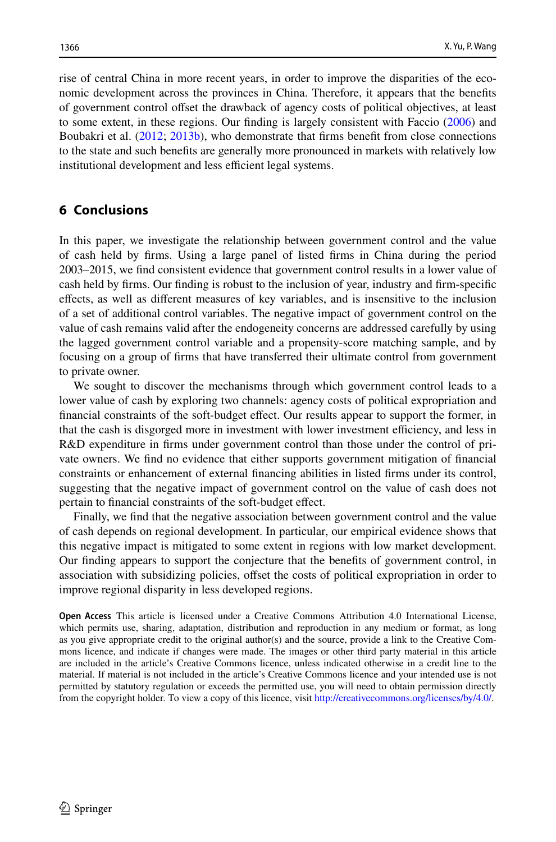rise of central China in more recent years, in order to improve the disparities of the economic development across the provinces in China. Therefore, it appears that the benefts of government control ofset the drawback of agency costs of political objectives, at least to some extent, in these regions. Our fnding is largely consistent with Faccio ([2006\)](#page-27-24) and Boubakri et al. [\(2012](#page-26-21); [2013b](#page-26-22)), who demonstrate that firms benefit from close connections to the state and such benefts are generally more pronounced in markets with relatively low institutional development and less efficient legal systems.

## <span id="page-25-0"></span>**6 Conclusions**

In this paper, we investigate the relationship between government control and the value of cash held by frms. Using a large panel of listed frms in China during the period 2003–2015, we fnd consistent evidence that government control results in a lower value of cash held by frms. Our fnding is robust to the inclusion of year, industry and frm-specifc efects, as well as diferent measures of key variables, and is insensitive to the inclusion of a set of additional control variables. The negative impact of government control on the value of cash remains valid after the endogeneity concerns are addressed carefully by using the lagged government control variable and a propensity-score matching sample, and by focusing on a group of frms that have transferred their ultimate control from government to private owner.

We sought to discover the mechanisms through which government control leads to a lower value of cash by exploring two channels: agency costs of political expropriation and fnancial constraints of the soft-budget efect. Our results appear to support the former, in that the cash is disgorged more in investment with lower investment efficiency, and less in R&D expenditure in frms under government control than those under the control of private owners. We fnd no evidence that either supports government mitigation of fnancial constraints or enhancement of external fnancing abilities in listed frms under its control, suggesting that the negative impact of government control on the value of cash does not pertain to fnancial constraints of the soft-budget efect.

Finally, we fnd that the negative association between government control and the value of cash depends on regional development. In particular, our empirical evidence shows that this negative impact is mitigated to some extent in regions with low market development. Our fnding appears to support the conjecture that the benefts of government control, in association with subsidizing policies, offset the costs of political expropriation in order to improve regional disparity in less developed regions.

**Open Access** This article is licensed under a Creative Commons Attribution 4.0 International License, which permits use, sharing, adaptation, distribution and reproduction in any medium or format, as long as you give appropriate credit to the original author(s) and the source, provide a link to the Creative Commons licence, and indicate if changes were made. The images or other third party material in this article are included in the article's Creative Commons licence, unless indicated otherwise in a credit line to the material. If material is not included in the article's Creative Commons licence and your intended use is not permitted by statutory regulation or exceeds the permitted use, you will need to obtain permission directly from the copyright holder. To view a copy of this licence, visit [http://creativecommons.org/licenses/by/4.0/.](http://creativecommons.org/licenses/by/4.0/)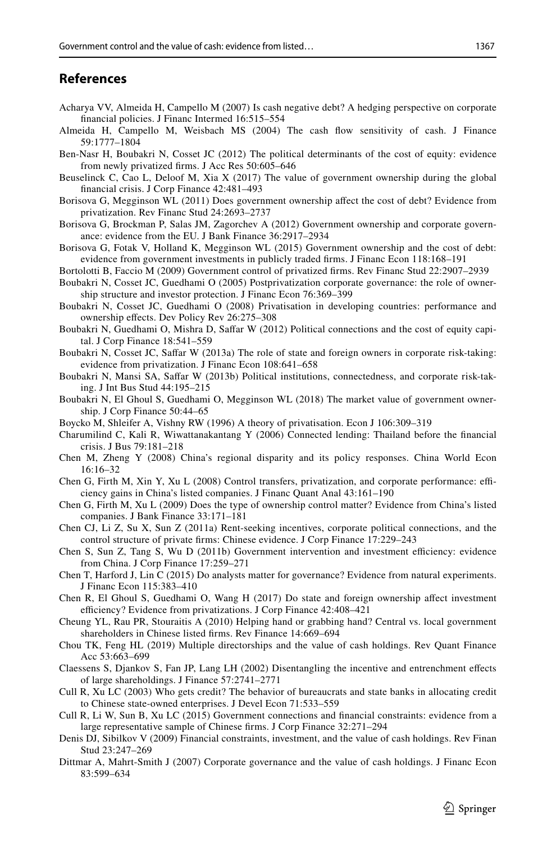## **References**

- <span id="page-26-12"></span>Acharya VV, Almeida H, Campello M (2007) Is cash negative debt? A hedging perspective on corporate fnancial policies. J Financ Intermed 16:515–554
- <span id="page-26-6"></span>Almeida H, Campello M, Weisbach MS (2004) The cash fow sensitivity of cash. J Finance 59:1777–1804
- <span id="page-26-11"></span>Ben-Nasr H, Boubakri N, Cosset JC (2012) The political determinants of the cost of equity: evidence from newly privatized frms. J Acc Res 50:605–646
- <span id="page-26-5"></span>Beuselinck C, Cao L, Deloof M, Xia X (2017) The value of government ownership during the global fnancial crisis. J Corp Finance 42:481–493
- <span id="page-26-18"></span>Borisova G, Megginson WL (2011) Does government ownership afect the cost of debt? Evidence from privatization. Rev Financ Stud 24:2693–2737
- <span id="page-26-20"></span>Borisova G, Brockman P, Salas JM, Zagorchev A (2012) Government ownership and corporate governance: evidence from the EU. J Bank Finance 36:2917–2934
- <span id="page-26-2"></span>Borisova G, Fotak V, Holland K, Megginson WL (2015) Government ownership and the cost of debt: evidence from government investments in publicly traded frms. J Financ Econ 118:168–191
- <span id="page-26-9"></span>Bortolotti B, Faccio M (2009) Government control of privatized frms. Rev Financ Stud 22:2907–2939
- <span id="page-26-3"></span>Boubakri N, Cosset JC, Guedhami O (2005) Postprivatization corporate governance: the role of ownership structure and investor protection. J Financ Econ 76:369–399
- <span id="page-26-13"></span>Boubakri N, Cosset JC, Guedhami O (2008) Privatisation in developing countries: performance and ownership efects. Dev Policy Rev 26:275–308
- <span id="page-26-21"></span>Boubakri N, Guedhami O, Mishra D, Saffar W (2012) Political connections and the cost of equity capital. J Corp Finance 18:541–559
- <span id="page-26-27"></span>Boubakri N, Cosset JC, Saffar W (2013a) The role of state and foreign owners in corporate risk-taking: evidence from privatization. J Financ Econ 108:641–658
- <span id="page-26-22"></span>Boubakri N, Mansi SA, Safar W (2013b) Political institutions, connectedness, and corporate risk-taking. J Int Bus Stud 44:195–215
- <span id="page-26-0"></span>Boubakri N, El Ghoul S, Guedhami O, Megginson WL (2018) The market value of government ownership. J Corp Finance 50:44–65
- <span id="page-26-1"></span>Boycko M, Shleifer A, Vishny RW (1996) A theory of privatisation. Econ J 106:309–319
- <span id="page-26-17"></span>Charumilind C, Kali R, Wiwattanakantang Y (2006) Connected lending: Thailand before the fnancial crisis. J Bus 79:181–218
- <span id="page-26-10"></span>Chen M, Zheng Y (2008) China's regional disparity and its policy responses. China World Econ  $16.16 - 32$
- <span id="page-26-15"></span>Chen G, Firth M, Xin Y, Xu L (2008) Control transfers, privatization, and corporate performance: efficiency gains in China's listed companies. J Financ Quant Anal 43:161–190
- <span id="page-26-4"></span>Chen G, Firth M, Xu L (2009) Does the type of ownership control matter? Evidence from China's listed companies. J Bank Finance 33:171–181
- <span id="page-26-28"></span>Chen CJ, Li Z, Su X, Sun Z (2011a) Rent-seeking incentives, corporate political connections, and the control structure of private frms: Chinese evidence. J Corp Finance 17:229–243
- <span id="page-26-16"></span>Chen S, Sun Z, Tang S, Wu D (2011b) Government intervention and investment efficiency: evidence from China. J Corp Finance 17:259–271
- <span id="page-26-26"></span>Chen T, Harford J, Lin C (2015) Do analysts matter for governance? Evidence from natural experiments. J Financ Econ 115:383–410
- <span id="page-26-14"></span>Chen R, El Ghoul S, Guedhami O, Wang H (2017) Do state and foreign ownership afect investment efficiency? Evidence from privatizations. J Corp Finance 42:408-421
- <span id="page-26-29"></span>Cheung YL, Rau PR, Stouraitis A (2010) Helping hand or grabbing hand? Central vs. local government shareholders in Chinese listed frms. Rev Finance 14:669–694
- <span id="page-26-24"></span>Chou TK, Feng HL (2019) Multiple directorships and the value of cash holdings. Rev Quant Finance Acc 53:663–699
- <span id="page-26-23"></span>Claessens S, Djankov S, Fan JP, Lang LH (2002) Disentangling the incentive and entrenchment efects of large shareholdings. J Finance 57:2741–2771
- <span id="page-26-19"></span>Cull R, Xu LC (2003) Who gets credit? The behavior of bureaucrats and state banks in allocating credit to Chinese state-owned enterprises. J Devel Econ 71:533–559
- <span id="page-26-25"></span>Cull R, Li W, Sun B, Xu LC (2015) Government connections and fnancial constraints: evidence from a large representative sample of Chinese frms. J Corp Finance 32:271–294
- <span id="page-26-8"></span>Denis DJ, Sibilkov V (2009) Financial constraints, investment, and the value of cash holdings. Rev Finan Stud 23:247–269
- <span id="page-26-7"></span>Dittmar A, Mahrt-Smith J (2007) Corporate governance and the value of cash holdings. J Financ Econ 83:599–634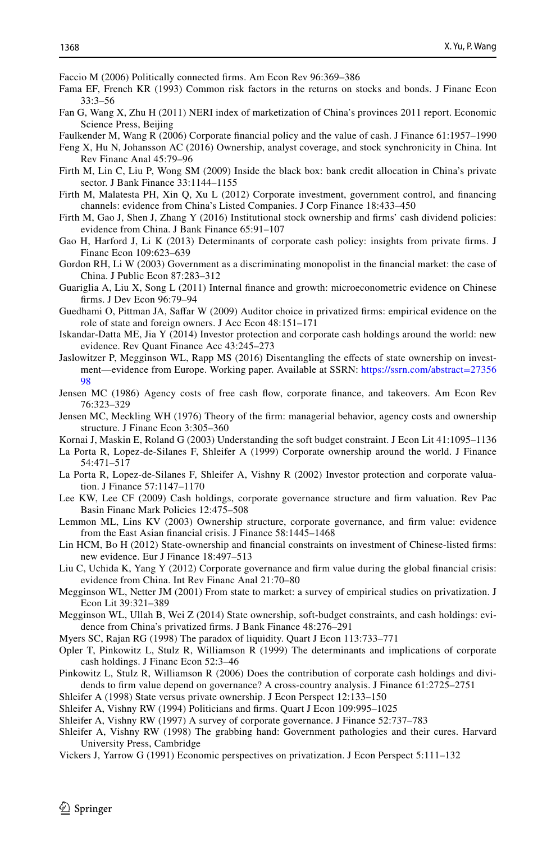<span id="page-27-24"></span>Faccio M (2006) Politically connected frms. Am Econ Rev 96:369–386

- <span id="page-27-25"></span>Fama EF, French KR (1993) Common risk factors in the returns on stocks and bonds. J Financ Econ 33:3–56
- <span id="page-27-32"></span>Fan G, Wang X, Zhu H (2011) NERI index of marketization of China's provinces 2011 report. Economic Science Press, Beijing
- <span id="page-27-6"></span>Faulkender M, Wang R (2006) Corporate fnancial policy and the value of cash. J Finance 61:1957–1990
- <span id="page-27-28"></span>Feng X, Hu N, Johansson AC (2016) Ownership, analyst coverage, and stock synchronicity in China. Int Rev Financ Anal 45:79–96
- <span id="page-27-31"></span>Firth M, Lin C, Liu P, Wong SM (2009) Inside the black box: bank credit allocation in China's private sector. J Bank Finance 33:1144–1155
- <span id="page-27-9"></span>Firth M, Malatesta PH, Xin Q, Xu L (2012) Corporate investment, government control, and fnancing channels: evidence from China's Listed Companies. J Corp Finance 18:433–450
- <span id="page-27-27"></span>Firth M, Gao J, Shen J, Zhang Y (2016) Institutional stock ownership and frms' cash dividend policies: evidence from China. J Bank Finance 65:91–107
- <span id="page-27-30"></span>Gao H, Harford J, Li K (2013) Determinants of corporate cash policy: insights from private frms. J Financ Econ 109:623–639
- <span id="page-27-19"></span>Gordon RH, Li W (2003) Government as a discriminating monopolist in the fnancial market: the case of China. J Public Econ 87:283–312
- <span id="page-27-20"></span>Guariglia A, Liu X, Song L (2011) Internal fnance and growth: microeconometric evidence on Chinese frms. J Dev Econ 96:79–94
- <span id="page-27-11"></span>Guedhami O, Pittman JA, Safar W (2009) Auditor choice in privatized frms: empirical evidence on the role of state and foreign owners. J Acc Econ 48:151–171
- <span id="page-27-29"></span>Iskandar-Datta ME, Jia Y (2014) Investor protection and corporate cash holdings around the world: new evidence. Rev Quant Finance Acc 43:245–273
- <span id="page-27-10"></span>Jaslowitzer P, Megginson WL, Rapp MS (2016) Disentangling the efects of state ownership on investment—evidence from Europe. Working paper. Available at SSRN: [https://ssrn.com/abstract=27356](https://ssrn.com/abstract=2735698) [98](https://ssrn.com/abstract=2735698)
- <span id="page-27-4"></span>Jensen MC (1986) Agency costs of free cash fow, corporate fnance, and takeovers. Am Econ Rev 76:323–329
- <span id="page-27-12"></span>Jensen MC, Meckling WH (1976) Theory of the frm: managerial behavior, agency costs and ownership structure. J Financ Econ 3:305–360
- <span id="page-27-1"></span>Kornai J, Maskin E, Roland G (2003) Understanding the soft budget constraint. J Econ Lit 41:1095–1136
- <span id="page-27-22"></span>La Porta R, Lopez-de-Silanes F, Shleifer A (1999) Corporate ownership around the world. J Finance 54:471–517
- <span id="page-27-23"></span>La Porta R, Lopez-de-Silanes F, Shleifer A, Vishny R (2002) Investor protection and corporate valuation. J Finance 57:1147–1170
- <span id="page-27-13"></span>Lee KW, Lee CF (2009) Cash holdings, corporate governance structure and frm valuation. Rev Pac Basin Financ Mark Policies 12:475–508
- <span id="page-27-26"></span>Lemmon ML, Lins KV (2003) Ownership structure, corporate governance, and frm value: evidence from the East Asian fnancial crisis. J Finance 58:1445–1468
- <span id="page-27-21"></span>Lin HCM, Bo H (2012) State-ownership and fnancial constraints on investment of Chinese-listed frms: new evidence. Eur J Finance 18:497–513
- <span id="page-27-2"></span>Liu C, Uchida K, Yang Y (2012) Corporate governance and frm value during the global fnancial crisis: evidence from China. Int Rev Financ Anal 21:70–80
- <span id="page-27-18"></span>Megginson WL, Netter JM (2001) From state to market: a survey of empirical studies on privatization. J Econ Lit 39:321–389
- <span id="page-27-8"></span>Megginson WL, Ullah B, Wei Z (2014) State ownership, soft-budget constraints, and cash holdings: evidence from China's privatized frms. J Bank Finance 48:276–291
- <span id="page-27-5"></span>Myers SC, Rajan RG (1998) The paradox of liquidity. Quart J Econ 113:733–771
- <span id="page-27-3"></span>Opler T, Pinkowitz L, Stulz R, Williamson R (1999) The determinants and implications of corporate cash holdings. J Financ Econ 52:3–46
- <span id="page-27-7"></span>Pinkowitz L, Stulz R, Williamson R (2006) Does the contribution of corporate cash holdings and dividends to frm value depend on governance? A cross-country analysis. J Finance 61:2725–2751
- <span id="page-27-16"></span>Shleifer A (1998) State versus private ownership. J Econ Perspect 12:133–150
- <span id="page-27-15"></span>Shleifer A, Vishny RW (1994) Politicians and frms. Quart J Econ 109:995–1025
- <span id="page-27-0"></span>Shleifer A, Vishny RW (1997) A survey of corporate governance. J Finance 52:737–783

<span id="page-27-14"></span>Shleifer A, Vishny RW (1998) The grabbing hand: Government pathologies and their cures. Harvard University Press, Cambridge

<span id="page-27-17"></span>Vickers J, Yarrow G (1991) Economic perspectives on privatization. J Econ Perspect 5:111–132